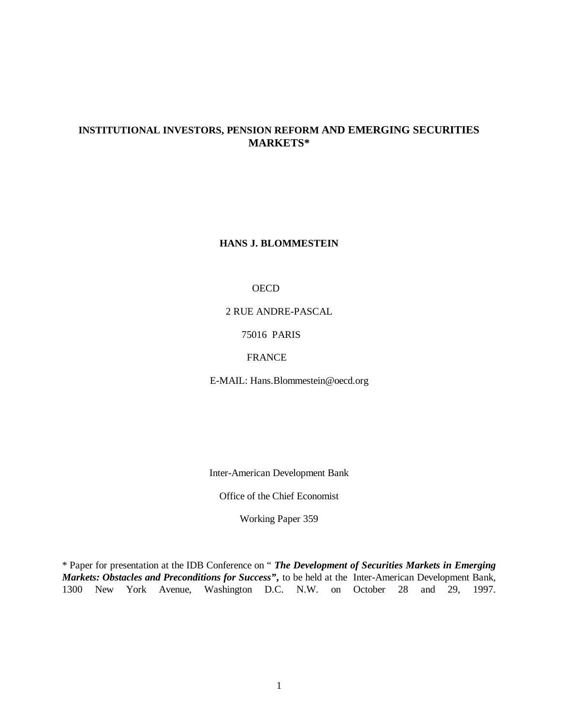# **INSTITUTIONAL INVESTORS, PENSION REFORM AND EMERGING SECURITIES MARKETS\***

### **HANS J. BLOMMESTEIN**

### **OECD**

### 2 RUE ANDRE-PASCAL

### 75016 PARIS

# FRANCE

E-MAIL: Hans.Blommestein@oecd.org

Inter-American Development Bank

Office of the Chief Economist

Working Paper 359

\* Paper for presentation at the IDB Conference on " *The Development of Securities Markets in Emerging Markets: Obstacles and Preconditions for Success"*, to be held at the Inter-American Development Bank, 1300 New York Avenue, Washington D.C. N.W. on October 28 and 29, 1997.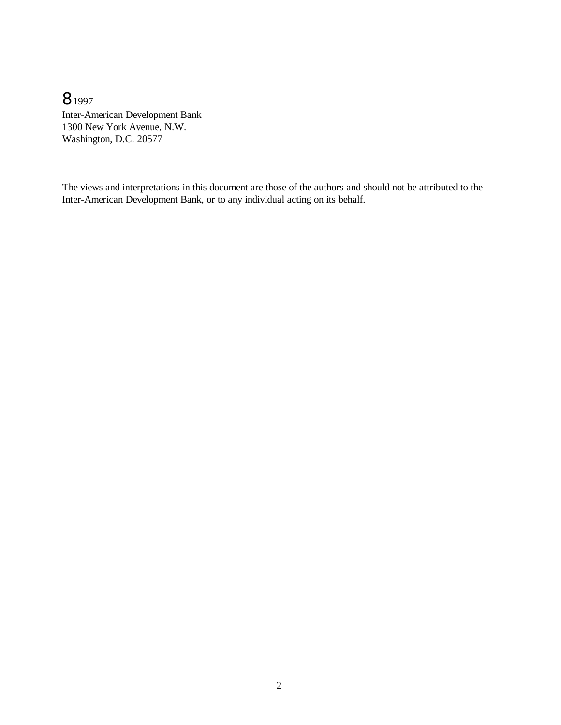8<sup>1997</sup> Inter-American Development Bank 1300 New York Avenue, N.W. Washington, D.C. 20577

The views and interpretations in this document are those of the authors and should not be attributed to the Inter-American Development Bank, or to any individual acting on its behalf.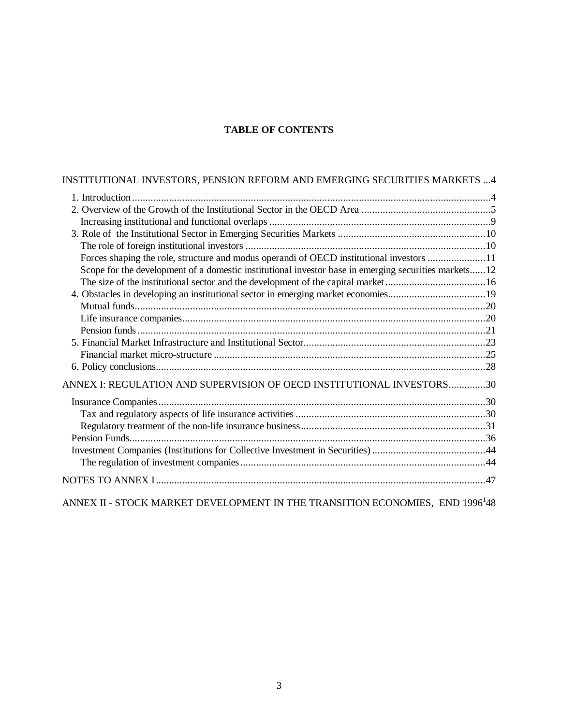# **TABLE OF CONTENTS**

| INSTITUTIONAL INVESTORS, PENSION REFORM AND EMERGING SECURITIES MARKETS 4                            |  |
|------------------------------------------------------------------------------------------------------|--|
|                                                                                                      |  |
|                                                                                                      |  |
|                                                                                                      |  |
|                                                                                                      |  |
| Forces shaping the role, structure and modus operandi of OECD institutional investors 11             |  |
| Scope for the development of a domestic institutional investor base in emerging securities markets12 |  |
|                                                                                                      |  |
| 4. Obstacles in developing an institutional sector in emerging market economies19                    |  |
|                                                                                                      |  |
|                                                                                                      |  |
|                                                                                                      |  |
|                                                                                                      |  |
|                                                                                                      |  |
|                                                                                                      |  |
|                                                                                                      |  |
| ANNEX I: REGULATION AND SUPERVISION OF OECD INSTITUTIONAL INVESTORS30                                |  |
|                                                                                                      |  |
|                                                                                                      |  |
|                                                                                                      |  |
|                                                                                                      |  |
|                                                                                                      |  |
|                                                                                                      |  |
|                                                                                                      |  |
| ANNEX II - STOCK MARKET DEVELOPMENT IN THE TRANSITION ECONOMIES, END 1996 <sup>1</sup> 48            |  |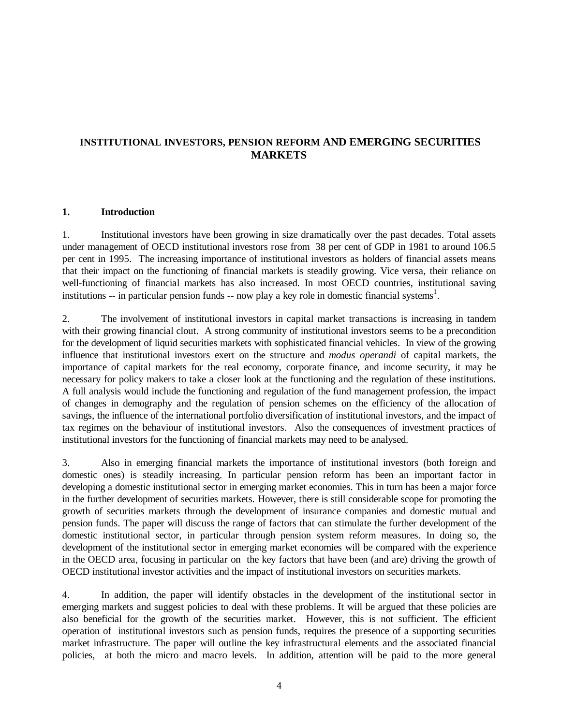## **INSTITUTIONAL INVESTORS, PENSION REFORM AND EMERGING SECURITIES MARKETS**

### **1. Introduction**

1. Institutional investors have been growing in size dramatically over the past decades. Total assets under management of OECD institutional investors rose from 38 per cent of GDP in 1981 to around 106.5 per cent in 1995. The increasing importance of institutional investors as holders of financial assets means that their impact on the functioning of financial markets is steadily growing. Vice versa, their reliance on well-functioning of financial markets has also increased. In most OECD countries, institutional saving institutions -- in particular pension funds -- now play a key role in domestic financial systems<sup>1</sup>.

2. The involvement of institutional investors in capital market transactions is increasing in tandem with their growing financial clout. A strong community of institutional investors seems to be a precondition for the development of liquid securities markets with sophisticated financial vehicles. In view of the growing influence that institutional investors exert on the structure and *modus operandi* of capital markets, the importance of capital markets for the real economy, corporate finance, and income security, it may be necessary for policy makers to take a closer look at the functioning and the regulation of these institutions. A full analysis would include the functioning and regulation of the fund management profession, the impact of changes in demography and the regulation of pension schemes on the efficiency of the allocation of savings, the influence of the international portfolio diversification of institutional investors, and the impact of tax regimes on the behaviour of institutional investors. Also the consequences of investment practices of institutional investors for the functioning of financial markets may need to be analysed.

3. Also in emerging financial markets the importance of institutional investors (both foreign and domestic ones) is steadily increasing. In particular pension reform has been an important factor in developing a domestic institutional sector in emerging market economies. This in turn has been a major force in the further development of securities markets. However, there is still considerable scope for promoting the growth of securities markets through the development of insurance companies and domestic mutual and pension funds. The paper will discuss the range of factors that can stimulate the further development of the domestic institutional sector, in particular through pension system reform measures. In doing so, the development of the institutional sector in emerging market economies will be compared with the experience in the OECD area, focusing in particular on the key factors that have been (and are) driving the growth of OECD institutional investor activities and the impact of institutional investors on securities markets.

4. In addition, the paper will identify obstacles in the development of the institutional sector in emerging markets and suggest policies to deal with these problems. It will be argued that these policies are also beneficial for the growth of the securities market. However, this is not sufficient. The efficient operation of institutional investors such as pension funds, requires the presence of a supporting securities market infrastructure. The paper will outline the key infrastructural elements and the associated financial policies, at both the micro and macro levels. In addition, attention will be paid to the more general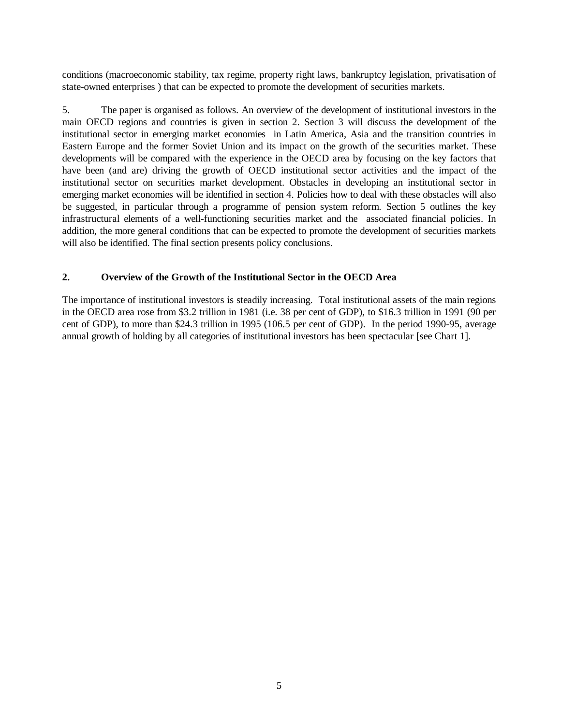conditions (macroeconomic stability, tax regime, property right laws, bankruptcy legislation, privatisation of state-owned enterprises ) that can be expected to promote the development of securities markets.

5. The paper is organised as follows. An overview of the development of institutional investors in the main OECD regions and countries is given in section 2. Section 3 will discuss the development of the institutional sector in emerging market economies in Latin America, Asia and the transition countries in Eastern Europe and the former Soviet Union and its impact on the growth of the securities market. These developments will be compared with the experience in the OECD area by focusing on the key factors that have been (and are) driving the growth of OECD institutional sector activities and the impact of the institutional sector on securities market development. Obstacles in developing an institutional sector in emerging market economies will be identified in section 4. Policies how to deal with these obstacles will also be suggested, in particular through a programme of pension system reform. Section 5 outlines the key infrastructural elements of a well-functioning securities market and the associated financial policies. In addition, the more general conditions that can be expected to promote the development of securities markets will also be identified. The final section presents policy conclusions.

### **2. Overview of the Growth of the Institutional Sector in the OECD Area**

The importance of institutional investors is steadily increasing. Total institutional assets of the main regions in the OECD area rose from \$3.2 trillion in 1981 (i.e. 38 per cent of GDP), to \$16.3 trillion in 1991 (90 per cent of GDP), to more than \$24.3 trillion in 1995 (106.5 per cent of GDP). In the period 1990-95, average annual growth of holding by all categories of institutional investors has been spectacular [see Chart 1].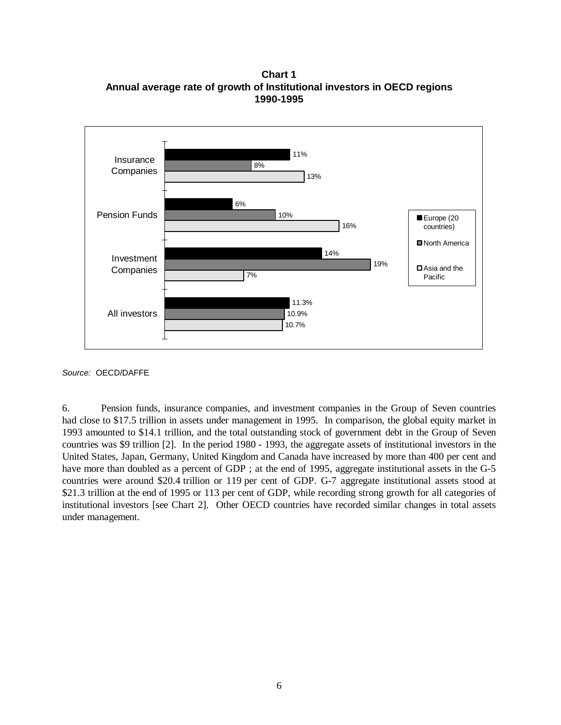**Chart 1 Annual average rate of growth of Institutional investors in OECD regions 1990-1995**



*Source:* OECD/DAFFE

6. Pension funds, insurance companies, and investment companies in the Group of Seven countries had close to \$17.5 trillion in assets under management in 1995. In comparison, the global equity market in 1993 amounted to \$14.1 trillion, and the total outstanding stock of government debt in the Group of Seven countries was \$9 trillion [2]. In the period 1980 - 1993, the aggregate assets of institutional investors in the United States, Japan, Germany, United Kingdom and Canada have increased by more than 400 per cent and have more than doubled as a percent of GDP; at the end of 1995, aggregate institutional assets in the G-5 countries were around \$20.4 trillion or 119 per cent of GDP. G-7 aggregate institutional assets stood at \$21.3 trillion at the end of 1995 or 113 per cent of GDP, while recording strong growth for all categories of institutional investors [see Chart 2]. Other OECD countries have recorded similar changes in total assets under management.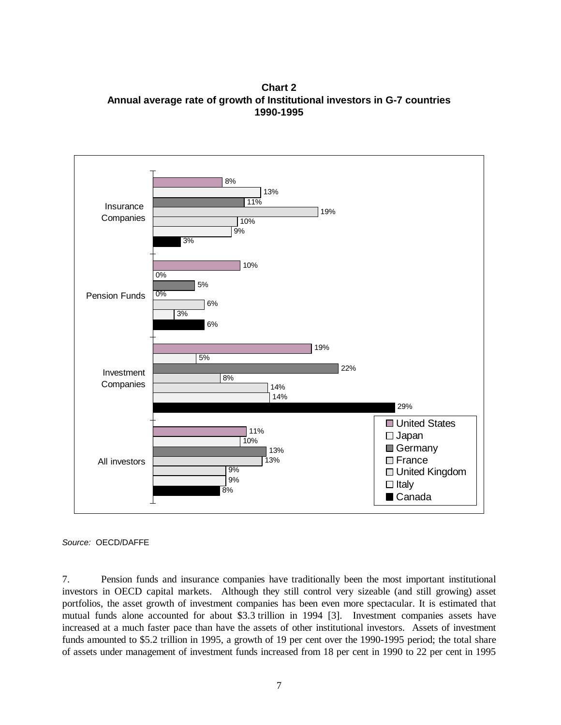**Chart 2 Annual average rate of growth of Institutional investors in G-7 countries 1990-1995**



*Source:* OECD/DAFFE

7. Pension funds and insurance companies have traditionally been the most important institutional investors in OECD capital markets. Although they still control very sizeable (and still growing) asset portfolios, the asset growth of investment companies has been even more spectacular. It is estimated that mutual funds alone accounted for about \$3.3 trillion in 1994 [3]. Investment companies assets have increased at a much faster pace than have the assets of other institutional investors. Assets of investment funds amounted to \$5.2 trillion in 1995, a growth of 19 per cent over the 1990-1995 period; the total share of assets under management of investment funds increased from 18 per cent in 1990 to 22 per cent in 1995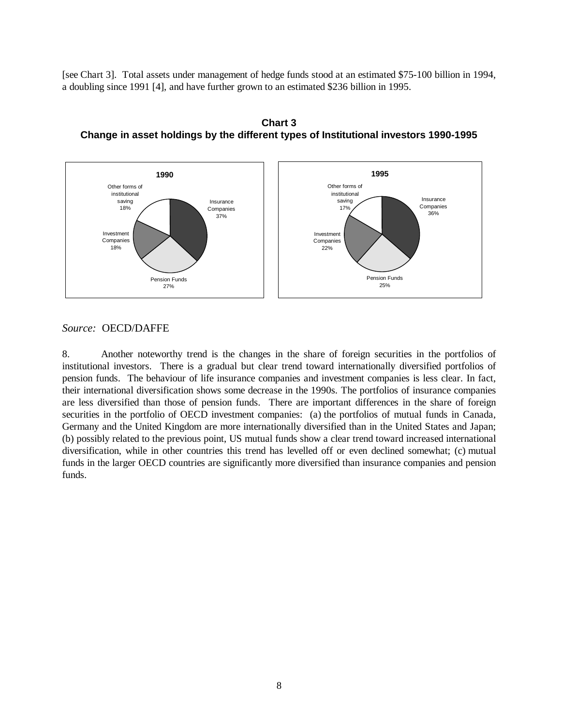[see Chart 3]. Total assets under management of hedge funds stood at an estimated \$75-100 billion in 1994, a doubling since 1991 [4], and have further grown to an estimated \$236 billion in 1995.



**Chart 3 Change in asset holdings by the different types of Institutional investors 1990-1995**

### *Source:* OECD/DAFFE

8. Another noteworthy trend is the changes in the share of foreign securities in the portfolios of institutional investors. There is a gradual but clear trend toward internationally diversified portfolios of pension funds. The behaviour of life insurance companies and investment companies is less clear. In fact, their international diversification shows some decrease in the 1990s. The portfolios of insurance companies are less diversified than those of pension funds. There are important differences in the share of foreign securities in the portfolio of OECD investment companies: (a) the portfolios of mutual funds in Canada, Germany and the United Kingdom are more internationally diversified than in the United States and Japan; (b) possibly related to the previous point, US mutual funds show a clear trend toward increased international diversification, while in other countries this trend has levelled off or even declined somewhat; (c) mutual funds in the larger OECD countries are significantly more diversified than insurance companies and pension funds.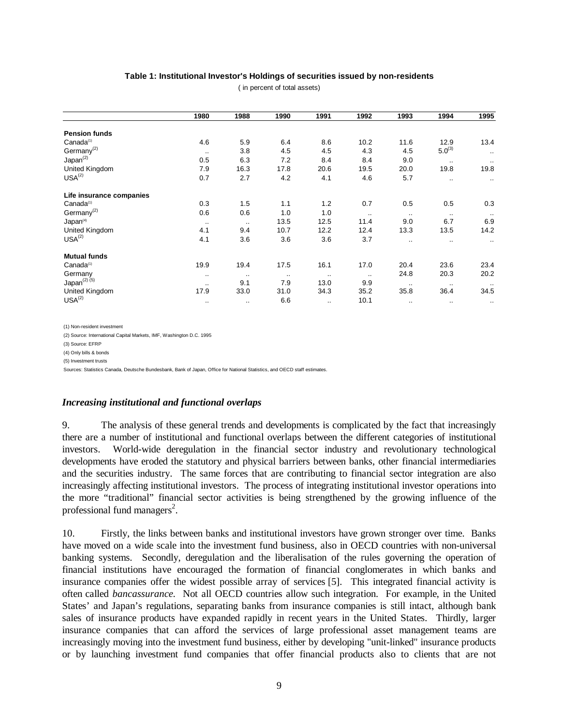#### **Table 1: Institutional Investor's Holdings of securities issued by non-residents**

( in percent of total assets)

|                          | 1980      | 1988          | 1990      | 1991      | 1992      | 1993          | 1994          | 1995          |
|--------------------------|-----------|---------------|-----------|-----------|-----------|---------------|---------------|---------------|
| <b>Pension funds</b>     |           |               |           |           |           |               |               |               |
| Canada <sup>(1)</sup>    | 4.6       | 5.9           | 6.4       | 8.6       | 10.2      | 11.6          | 12.9          | 13.4          |
| Germany <sup>(2)</sup>   | $\cdot$ . | 3.8           | 4.5       | 4.5       | 4.3       | 4.5           | $5.0^{(3)}$   | $\cdot$ .     |
| Japan <sup>(2)</sup>     | 0.5       | 6.3           | 7.2       | 8.4       | 8.4       | 9.0           | $\sim$ $\sim$ | $\sim$ $\sim$ |
| United Kingdom           | 7.9       | 16.3          | 17.8      | 20.6      | 19.5      | 20.0          | 19.8          | 19.8          |
| $USA^{(2)}$              | 0.7       | 2.7           | 4.2       | 4.1       | 4.6       | 5.7           |               | $\cdot$ .     |
| Life insurance companies |           |               |           |           |           |               |               |               |
| Canada <sup>(1)</sup>    | 0.3       | 1.5           | 1.1       | 1.2       | 0.7       | 0.5           | 0.5           | 0.3           |
| Germany <sup>(2)</sup>   | 0.6       | 0.6           | 1.0       | 1.0       | $\cdot$ . | $\sim$        | $\cdots$      | $\sim$        |
| Japan <sup>(4)</sup>     | $\sim$    | $\sim$ $\sim$ | 13.5      | 12.5      | 11.4      | 9.0           | 6.7           | 6.9           |
| United Kingdom           | 4.1       | 9.4           | 10.7      | 12.2      | 12.4      | 13.3          | 13.5          | 14.2          |
| USA <sup>(2)</sup>       | 4.1       | 3.6           | 3.6       | 3.6       | 3.7       | $\cdot$ .     |               | $\cdot$ .     |
| <b>Mutual funds</b>      |           |               |           |           |           |               |               |               |
| Canada <sup>(1)</sup>    | 19.9      | 19.4          | 17.5      | 16.1      | 17.0      | 20.4          | 23.6          | 23.4          |
| Germany                  |           | $\sim$ $\sim$ | $\ddotsc$ | $\ddotsc$ | $\cdot$ . | 24.8          | 20.3          | 20.2          |
| Japan $^{(2)}$ $^{(5)}$  |           | 9.1           | 7.9       | 13.0      | 9.9       | $\sim$ $\sim$ | $\cdot$ .     | $\cdots$      |
| United Kingdom           | 17.9      | 33.0          | 31.0      | 34.3      | 35.2      | 35.8          | 36.4          | 34.5          |
| $USA^{(2)}$              |           | $\sim$        | 6.6       |           | 10.1      | $\cdot$ .     |               | $\cdot$ .     |

(1) Non-resident investment

(2) Source: International Capital Markets, IMF, Washington D.C. 1995

(3) Source: EFRP

(4) Only bills & bonds

(5) Investment trusts

Sources: Statistics Canada, Deutsche Bundesbank, Bank of Japan, Office for National Statistics, and OECD staff estimates.

### *Increasing institutional and functional overlaps*

9. The analysis of these general trends and developments is complicated by the fact that increasingly there are a number of institutional and functional overlaps between the different categories of institutional investors. World-wide deregulation in the financial sector industry and revolutionary technological developments have eroded the statutory and physical barriers between banks, other financial intermediaries and the securities industry. The same forces that are contributing to financial sector integration are also increasingly affecting institutional investors. The process of integrating institutional investor operations into the more "traditional" financial sector activities is being strengthened by the growing influence of the professional fund managers<sup>2</sup>.

10. Firstly, the links between banks and institutional investors have grown stronger over time. Banks have moved on a wide scale into the investment fund business, also in OECD countries with non-universal banking systems. Secondly, deregulation and the liberalisation of the rules governing the operation of financial institutions have encouraged the formation of financial conglomerates in which banks and insurance companies offer the widest possible array of services [5]. This integrated financial activity is often called *bancassurance*. Not all OECD countries allow such integration. For example, in the United States' and Japan's regulations, separating banks from insurance companies is still intact, although bank sales of insurance products have expanded rapidly in recent years in the United States. Thirdly, larger insurance companies that can afford the services of large professional asset management teams are increasingly moving into the investment fund business, either by developing "unit-linked" insurance products or by launching investment fund companies that offer financial products also to clients that are not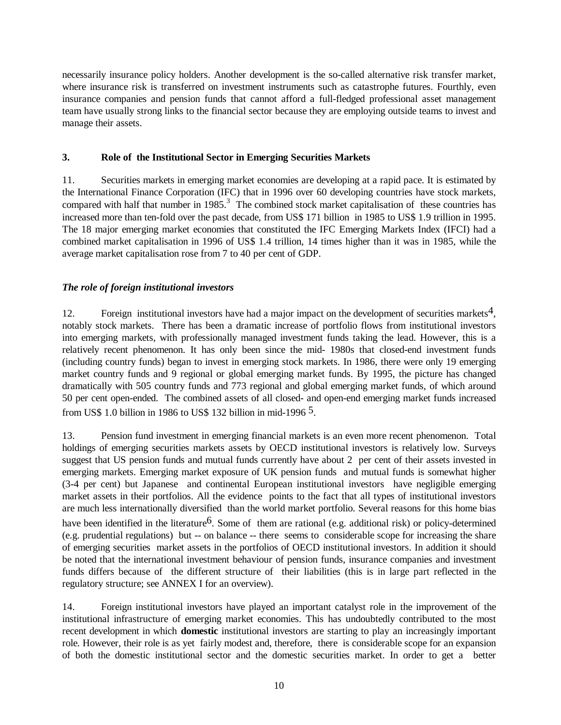necessarily insurance policy holders. Another development is the so-called alternative risk transfer market, where insurance risk is transferred on investment instruments such as catastrophe futures. Fourthly, even insurance companies and pension funds that cannot afford a full-fledged professional asset management team have usually strong links to the financial sector because they are employing outside teams to invest and manage their assets.

#### **3. Role of the Institutional Sector in Emerging Securities Markets**

11. Securities markets in emerging market economies are developing at a rapid pace. It is estimated by the International Finance Corporation (IFC) that in 1996 over 60 developing countries have stock markets, compared with half that number in 1985.<sup>3</sup> The combined stock market capitalisation of these countries has increased more than ten-fold over the past decade, from US\$ 171 billion in 1985 to US\$ 1.9 trillion in 1995. The 18 major emerging market economies that constituted the IFC Emerging Markets Index (IFCI) had a combined market capitalisation in 1996 of US\$ 1.4 trillion, 14 times higher than it was in 1985, while the average market capitalisation rose from 7 to 40 per cent of GDP.

### *The role of foreign institutional investors*

12. Foreign institutional investors have had a major impact on the development of securities markets<sup>4</sup>, notably stock markets. There has been a dramatic increase of portfolio flows from institutional investors into emerging markets, with professionally managed investment funds taking the lead. However, this is a relatively recent phenomenon. It has only been since the mid- 1980s that closed-end investment funds (including country funds) began to invest in emerging stock markets. In 1986, there were only 19 emerging market country funds and 9 regional or global emerging market funds. By 1995, the picture has changed dramatically with 505 country funds and 773 regional and global emerging market funds, of which around 50 per cent open-ended. The combined assets of all closed- and open-end emerging market funds increased from US\$ 1.0 billion in 1986 to US\$ 132 billion in mid-1996 5.

13. Pension fund investment in emerging financial markets is an even more recent phenomenon. Total holdings of emerging securities markets assets by OECD institutional investors is relatively low. Surveys suggest that US pension funds and mutual funds currently have about 2 per cent of their assets invested in emerging markets. Emerging market exposure of UK pension funds and mutual funds is somewhat higher (3-4 per cent) but Japanese and continental European institutional investors have negligible emerging market assets in their portfolios. All the evidence points to the fact that all types of institutional investors are much less internationally diversified than the world market portfolio. Several reasons for this home bias have been identified in the literature<sup>6</sup>. Some of them are rational (e.g. additional risk) or policy-determined (e.g. prudential regulations) but -- on balance -- there seems to considerable scope for increasing the share of emerging securities market assets in the portfolios of OECD institutional investors. In addition it should be noted that the international investment behaviour of pension funds, insurance companies and investment funds differs because of the different structure of their liabilities (this is in large part reflected in the regulatory structure; see ANNEX I for an overview).

14. Foreign institutional investors have played an important catalyst role in the improvement of the institutional infrastructure of emerging market economies. This has undoubtedly contributed to the most recent development in which **domestic** institutional investors are starting to play an increasingly important role. However, their role is as yet fairly modest and, therefore, there is considerable scope for an expansion of both the domestic institutional sector and the domestic securities market. In order to get a better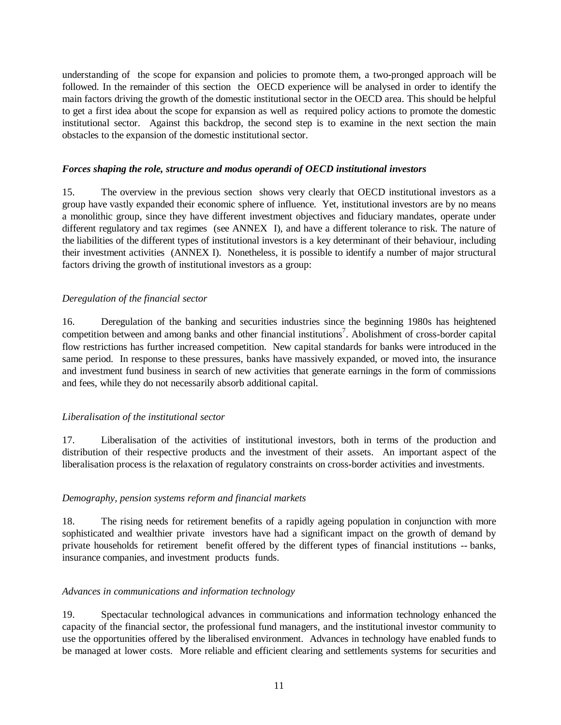understanding of the scope for expansion and policies to promote them, a two-pronged approach will be followed. In the remainder of this section the OECD experience will be analysed in order to identify the main factors driving the growth of the domestic institutional sector in the OECD area. This should be helpful to get a first idea about the scope for expansion as well as required policy actions to promote the domestic institutional sector. Against this backdrop, the second step is to examine in the next section the main obstacles to the expansion of the domestic institutional sector.

#### *Forces shaping the role, structure and modus operandi of OECD institutional investors*

15. The overview in the previous section shows very clearly that OECD institutional investors as a group have vastly expanded their economic sphere of influence. Yet, institutional investors are by no means a monolithic group, since they have different investment objectives and fiduciary mandates, operate under different regulatory and tax regimes (see ANNEX I), and have a different tolerance to risk. The nature of the liabilities of the different types of institutional investors is a key determinant of their behaviour, including their investment activities (ANNEX I). Nonetheless, it is possible to identify a number of major structural factors driving the growth of institutional investors as a group:

### *Deregulation of the financial sector*

16. Deregulation of the banking and securities industries since the beginning 1980s has heightened competition between and among banks and other financial institutions<sup>7</sup>. Abolishment of cross-border capital flow restrictions has further increased competition. New capital standards for banks were introduced in the same period. In response to these pressures, banks have massively expanded, or moved into, the insurance and investment fund business in search of new activities that generate earnings in the form of commissions and fees, while they do not necessarily absorb additional capital.

### *Liberalisation of the institutional sector*

17. Liberalisation of the activities of institutional investors, both in terms of the production and distribution of their respective products and the investment of their assets. An important aspect of the liberalisation process is the relaxation of regulatory constraints on cross-border activities and investments.

### *Demography, pension systems reform and financial markets*

18. The rising needs for retirement benefits of a rapidly ageing population in conjunction with more sophisticated and wealthier private investors have had a significant impact on the growth of demand by private households for retirement benefit offered by the different types of financial institutions -- banks, insurance companies, and investment products funds.

### *Advances in communications and information technology*

19. Spectacular technological advances in communications and information technology enhanced the capacity of the financial sector, the professional fund managers, and the institutional investor community to use the opportunities offered by the liberalised environment. Advances in technology have enabled funds to be managed at lower costs. More reliable and efficient clearing and settlements systems for securities and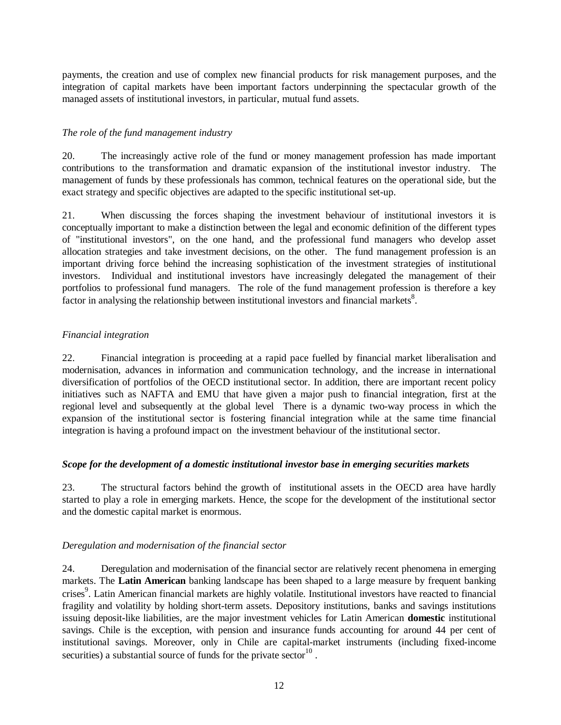payments, the creation and use of complex new financial products for risk management purposes, and the integration of capital markets have been important factors underpinning the spectacular growth of the managed assets of institutional investors, in particular, mutual fund assets.

### *The role of the fund management industry*

20. The increasingly active role of the fund or money management profession has made important contributions to the transformation and dramatic expansion of the institutional investor industry. The management of funds by these professionals has common, technical features on the operational side, but the exact strategy and specific objectives are adapted to the specific institutional set-up.

21. When discussing the forces shaping the investment behaviour of institutional investors it is conceptually important to make a distinction between the legal and economic definition of the different types of "institutional investors", on the one hand, and the professional fund managers who develop asset allocation strategies and take investment decisions, on the other. The fund management profession is an important driving force behind the increasing sophistication of the investment strategies of institutional investors. Individual and institutional investors have increasingly delegated the management of their portfolios to professional fund managers. The role of the fund management profession is therefore a key factor in analysing the relationship between institutional investors and financial markets<sup>8</sup>.

### *Financial integration*

22. Financial integration is proceeding at a rapid pace fuelled by financial market liberalisation and modernisation, advances in information and communication technology, and the increase in international diversification of portfolios of the OECD institutional sector. In addition, there are important recent policy initiatives such as NAFTA and EMU that have given a major push to financial integration, first at the regional level and subsequently at the global level There is a dynamic two-way process in which the expansion of the institutional sector is fostering financial integration while at the same time financial integration is having a profound impact on the investment behaviour of the institutional sector.

### *Scope for the development of a domestic institutional investor base in emerging securities markets*

23. The structural factors behind the growth of institutional assets in the OECD area have hardly started to play a role in emerging markets. Hence, the scope for the development of the institutional sector and the domestic capital market is enormous.

### *Deregulation and modernisation of the financial sector*

24. Deregulation and modernisation of the financial sector are relatively recent phenomena in emerging markets. The **Latin American** banking landscape has been shaped to a large measure by frequent banking crises<sup>9</sup>. Latin American financial markets are highly volatile. Institutional investors have reacted to financial fragility and volatility by holding short-term assets. Depository institutions, banks and savings institutions issuing deposit-like liabilities, are the major investment vehicles for Latin American **domestic** institutional savings. Chile is the exception, with pension and insurance funds accounting for around 44 per cent of institutional savings. Moreover, only in Chile are capital-market instruments (including fixed-income securities) a substantial source of funds for the private sector  $10$ .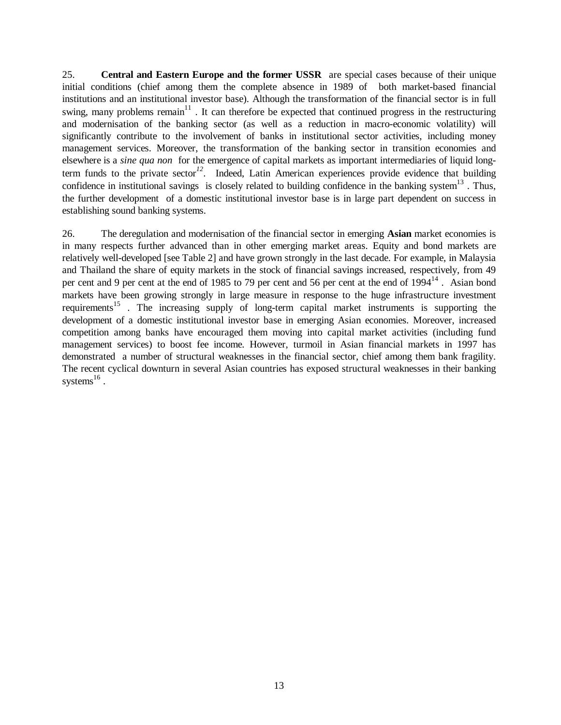25. **Central and Eastern Europe and the former USSR** are special cases because of their unique initial conditions (chief among them the complete absence in 1989 of both market-based financial institutions and an institutional investor base). Although the transformation of the financial sector is in full swing, many problems remain $11$ . It can therefore be expected that continued progress in the restructuring and modernisation of the banking sector (as well as a reduction in macro-economic volatility) will significantly contribute to the involvement of banks in institutional sector activities, including money management services. Moreover, the transformation of the banking sector in transition economies and elsewhere is a *sine qua non* for the emergence of capital markets as important intermediaries of liquid longterm funds to the private sector<sup>12</sup>. Indeed, Latin American experiences provide evidence that building confidence in institutional savings is closely related to building confidence in the banking system<sup>13</sup>. Thus, the further development of a domestic institutional investor base is in large part dependent on success in establishing sound banking systems.

26. The deregulation and modernisation of the financial sector in emerging **Asian** market economies is in many respects further advanced than in other emerging market areas. Equity and bond markets are relatively well-developed [see Table 2] and have grown strongly in the last decade. For example, in Malaysia and Thailand the share of equity markets in the stock of financial savings increased, respectively, from 49 per cent and 9 per cent at the end of 1985 to 79 per cent and 56 per cent at the end of  $1994<sup>14</sup>$ . Asian bond markets have been growing strongly in large measure in response to the huge infrastructure investment requirements<sup>15</sup>. The increasing supply of long-term capital market instruments is supporting the development of a domestic institutional investor base in emerging Asian economies. Moreover, increased competition among banks have encouraged them moving into capital market activities (including fund management services) to boost fee income. However, turmoil in Asian financial markets in 1997 has demonstrated a number of structural weaknesses in the financial sector, chief among them bank fragility. The recent cyclical downturn in several Asian countries has exposed structural weaknesses in their banking systems $^{16}$ .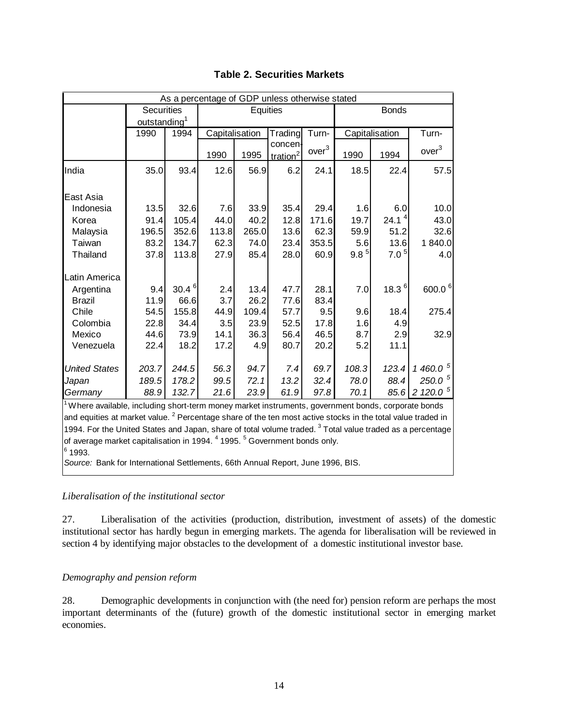| As a percentage of GDP unless otherwise stated                                                                             |                          |                   |                 |       |                                 |                   |                  |                   |                     |
|----------------------------------------------------------------------------------------------------------------------------|--------------------------|-------------------|-----------------|-------|---------------------------------|-------------------|------------------|-------------------|---------------------|
|                                                                                                                            | <b>Securities</b>        |                   | <b>Equities</b> |       |                                 | <b>Bonds</b>      |                  |                   |                     |
|                                                                                                                            | outstanding <sup>1</sup> |                   |                 |       |                                 |                   |                  |                   |                     |
|                                                                                                                            | 1990                     | 1994              | Capitalisation  |       | Trading                         | Turn-             | Capitalisation   |                   | Turn-               |
|                                                                                                                            |                          |                   | 1990            | 1995  | concen-<br>tration <sup>2</sup> | over <sup>3</sup> | 1990             | 1994              | over <sup>3</sup>   |
| India                                                                                                                      | 35.0                     | 93.4              | 12.6            | 56.9  | 6.2                             | 24.1              | 18.5             | 22.4              | 57.5                |
| East Asia                                                                                                                  |                          |                   |                 |       |                                 |                   |                  |                   |                     |
| Indonesia                                                                                                                  | 13.5                     | 32.6              | 7.6             | 33.9  | 35.4                            | 29.4              | 1.6              | 6.0               | 10.0                |
| Korea                                                                                                                      | 91.4                     | 105.4             | 44.0            | 40.2  | 12.8                            | 171.6             | 19.7             | 24.1 $4$          | 43.0                |
| Malaysia                                                                                                                   | 196.5                    | 352.6             | 113.8           | 265.0 | 13.6                            | 62.3              | 59.9             | 51.2              | 32.6                |
| Taiwan                                                                                                                     | 83.2                     | 134.7             | 62.3            | 74.0  | 23.4                            | 353.5             | 5.6              | 13.6              | 1840.0              |
| Thailand                                                                                                                   | 37.8                     | 113.8             | 27.9            | 85.4  | 28.0                            | 60.9              | 9.8 <sup>5</sup> | 7.0 <sup>5</sup>  | 4.0                 |
| Latin America                                                                                                              |                          |                   |                 |       |                                 |                   |                  |                   |                     |
| Argentina                                                                                                                  | 9.4                      | 30.4 <sup>6</sup> | 2.4             | 13.4  | 47.7                            | 28.1              | 7.0              | 18.3 <sup>6</sup> | 600.0 <sup>6</sup>  |
| <b>Brazil</b>                                                                                                              | 11.9                     | 66.6              | 3.7             | 26.2  | 77.6                            | 83.4              |                  |                   |                     |
| Chile                                                                                                                      | 54.5                     | 155.8             | 44.9            | 109.4 | 57.7                            | 9.5               | 9.6              | 18.4              | 275.4               |
| Colombia                                                                                                                   | 22.8                     | 34.4              | 3.5             | 23.9  | 52.5                            | 17.8              | 1.6              | 4.9               |                     |
| Mexico                                                                                                                     | 44.6                     | 73.9              | 14.1            | 36.3  | 56.4                            | 46.5              | 8.7              | 2.9               | 32.9                |
| Venezuela                                                                                                                  | 22.4                     | 18.2              | 17.2            | 4.9   | 80.7                            | 20.2              | 5.2              | 11.1              |                     |
| <b>United States</b>                                                                                                       | 203.7                    | 244.5             | 56.3            | 94.7  | 7.4                             | 69.7              | 108.3            | 123.4             | 1460.0 <sup>5</sup> |
| Japan                                                                                                                      | 189.5                    | 178.2             | 99.5            | 72.1  | 13.2                            | 32.4              | 78.0             | 88.4              | 250.0 <sup>5</sup>  |
| Germany                                                                                                                    | 88.9                     | 132.7             | 21.6            | 23.9  | 61.9                            | 97.8              | 70.1             | 85.6              | 2 120.0 $^5$        |
| $1$ Where available, including short-term money market instruments, government bonds, corporate bonds                      |                          |                   |                 |       |                                 |                   |                  |                   |                     |
| $ $ and equities at market value. <sup>2</sup> Percentage share of the ten most active stocks in the total value traded in |                          |                   |                 |       |                                 |                   |                  |                   |                     |
| 1994. For the United States and Japan, share of total volume traded. <sup>3</sup> Total value traded as a percentage       |                          |                   |                 |       |                                 |                   |                  |                   |                     |
| of average market capitalisation in 1994. <sup>4</sup> 1995. <sup>5</sup> Government bonds only.<br>$ 6$ 1993.             |                          |                   |                 |       |                                 |                   |                  |                   |                     |
| Source: Bank for International Settlements, 66th Annual Report, June 1996, BIS.                                            |                          |                   |                 |       |                                 |                   |                  |                   |                     |

## **Table 2. Securities Markets**

### *Liberalisation of the institutional sector*

27. Liberalisation of the activities (production, distribution, investment of assets) of the domestic institutional sector has hardly begun in emerging markets. The agenda for liberalisation will be reviewed in section 4 by identifying major obstacles to the development of a domestic institutional investor base.

### *Demography and pension reform*

28. Demographic developments in conjunction with (the need for) pension reform are perhaps the most important determinants of the (future) growth of the domestic institutional sector in emerging market economies.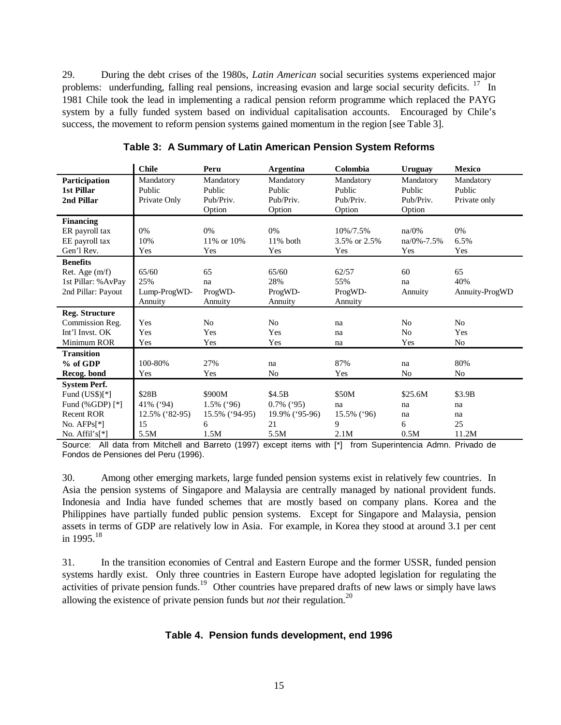29. During the debt crises of the 1980s, *Latin American* social securities systems experienced major problems: underfunding, falling real pensions, increasing evasion and large social security deficits. <sup>17</sup> In 1981 Chile took the lead in implementing a radical pension reform programme which replaced the PAYG system by a fully funded system based on individual capitalisation accounts. Encouraged by Chile's success, the movement to reform pension systems gained momentum in the region [see Table 3].

|                       | <b>Chile</b>      | Peru           | <b>Argentina</b> | Colombia     | <b>Uruguay</b>  | <b>Mexico</b>  |
|-----------------------|-------------------|----------------|------------------|--------------|-----------------|----------------|
| Participation         | Mandatory         | Mandatory      | Mandatory        | Mandatory    | Mandatory       | Mandatory      |
| 1st Pillar            | Public            | Public         | Public           | Public       | Public          | Public         |
| 2nd Pillar            | Private Only      | Pub/Priv.      | Pub/Priv.        | Pub/Priv.    | Pub/Priv.       | Private only   |
|                       |                   | Option         | Option           | Option       | Option          |                |
| <b>Financing</b>      |                   |                |                  |              |                 |                |
| ER payroll tax        | $0\%$             | 0%             | 0%               | 10%/7.5%     | na/0%           | 0%             |
| EE payroll tax        | 10%               | 11% or 10%     | $11\%$ both      | 3.5% or 2.5% | $na/0\% -7.5\%$ | 6.5%           |
| Gen'l Rev.            | Yes               | Yes            | Yes              | Yes          | Yes             | Yes            |
| <b>Benefits</b>       |                   |                |                  |              |                 |                |
| Ret. Age $(m/f)$      | 65/60             | 65             | 65/60            | 62/57        | 60              | 65             |
| 1st Pillar: %AvPay    | 25%               | na             | 28%              | 55%          | na              | 40%            |
| 2nd Pillar: Payout    | Lump-ProgWD-      | ProgWD-        | ProgWD-          | ProgWD-      | Annuity         | Annuity-ProgWD |
|                       | Annuity           | Annuity        | Annuity          | Annuity      |                 |                |
| <b>Reg. Structure</b> |                   |                |                  |              |                 |                |
| Commission Reg.       | Yes               | No             | No               | na           | No              | No             |
| Int'l Invst. OK       | Yes               | Yes            | Yes              | na           | N <sub>o</sub>  | Yes            |
| Minimum ROR           | Yes               | Yes            | Yes              | na           | Yes             | No             |
| <b>Transition</b>     |                   |                |                  |              |                 |                |
| % of GDP              | 100-80%           | 27%            | na               | 87%          | na              | 80%            |
| Recog. bond           | Yes               | Yes            | No               | Yes          | No              | No             |
| <b>System Perf.</b>   |                   |                |                  |              |                 |                |
| Fund $(US$)[*]$       | \$28B             | \$900M         | \$4.5B           | \$50M        | \$25.6M         | \$3.9B         |
| Fund $(\%GDP)$ [*]    | 41% ('94)         | $1.5\%$ ('96)  | $0.7\%$ ('95)    | na           | na              | na             |
| <b>Recent ROR</b>     | $12.5\%$ ('82-95) | 15.5% ('94-95) | 19.9% ('95-96)   | 15.5% ('96)  | na              | na             |
| No. $AFPs[*]$         | 15                | 6              | 21               | 9            | 6               | 25             |
| No. Affil's $[*]$     | 5.5M              | 1.5M           | 5.5M             | 2.1M         | 0.5M            | 11.2M          |

**Table 3: A Summary of Latin American Pension System Reforms**

Source: All data from Mitchell and Barreto (1997) except items with [\*] from Superintencia Admn. Privado de Fondos de Pensiones del Peru (1996).

30. Among other emerging markets, large funded pension systems exist in relatively few countries. In Asia the pension systems of Singapore and Malaysia are centrally managed by national provident funds. Indonesia and India have funded schemes that are mostly based on company plans. Korea and the Philippines have partially funded public pension systems. Except for Singapore and Malaysia, pension assets in terms of GDP are relatively low in Asia. For example, in Korea they stood at around 3.1 per cent in 1995.<sup>18</sup>

31. In the transition economies of Central and Eastern Europe and the former USSR, funded pension systems hardly exist. Only three countries in Eastern Europe have adopted legislation for regulating the activities of private pension funds.<sup>19</sup> Other countries have prepared drafts of new laws or simply have laws allowing the existence of private pension funds but *not* their regulation.<sup>20</sup>

#### **Table 4. Pension funds development, end 1996**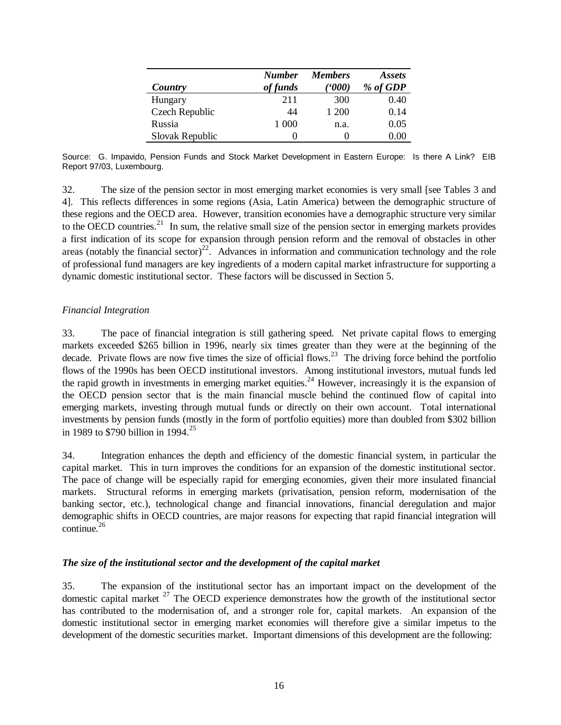|                 | <b>Number</b> | <b>Members</b> | Assets   |
|-----------------|---------------|----------------|----------|
| Country         | of funds      | (5000)         | % of GDP |
| Hungary         | 211           | 300            | 0.40     |
| Czech Republic  | 44            | 1 200          | 0.14     |
| Russia          | 1 000         | n.a.           | 0.05     |
| Slovak Republic |               | 0              | 0.00     |

Source: G. Impavido, Pension Funds and Stock Market Development in Eastern Europe: Is there A Link? EIB Report 97/03, Luxembourg.

32. The size of the pension sector in most emerging market economies is very small [see Tables 3 and 4]. This reflects differences in some regions (Asia, Latin America) between the demographic structure of these regions and the OECD area. However, transition economies have a demographic structure very similar to the OECD countries.<sup>21</sup> In sum, the relative small size of the pension sector in emerging markets provides a first indication of its scope for expansion through pension reform and the removal of obstacles in other areas (notably the financial sector)<sup>22</sup>. Advances in information and communication technology and the role of professional fund managers are key ingredients of a modern capital market infrastructure for supporting a dynamic domestic institutional sector. These factors will be discussed in Section 5.

#### *Financial Integration*

33. The pace of financial integration is still gathering speed. Net private capital flows to emerging markets exceeded \$265 billion in 1996, nearly six times greater than they were at the beginning of the decade. Private flows are now five times the size of official flows.<sup>23</sup> The driving force behind the portfolio flows of the 1990s has been OECD institutional investors. Among institutional investors, mutual funds led the rapid growth in investments in emerging market equities.<sup>24</sup> However, increasingly it is the expansion of the OECD pension sector that is the main financial muscle behind the continued flow of capital into emerging markets, investing through mutual funds or directly on their own account. Total international investments by pension funds (mostly in the form of portfolio equities) more than doubled from \$302 billion in 1989 to \$790 billion in 1994.<sup>25</sup>

34. Integration enhances the depth and efficiency of the domestic financial system, in particular the capital market. This in turn improves the conditions for an expansion of the domestic institutional sector. The pace of change will be especially rapid for emerging economies, given their more insulated financial markets. Structural reforms in emerging markets (privatisation, pension reform, modernisation of the banking sector, etc.), technological change and financial innovations, financial deregulation and major demographic shifts in OECD countries, are major reasons for expecting that rapid financial integration will continue. $^{26}$ 

#### *The size of the institutional sector and the development of the capital market*

35. The expansion of the institutional sector has an important impact on the development of the domestic capital market  $27$  The OECD experience demonstrates how the growth of the institutional sector has contributed to the modernisation of, and a stronger role for, capital markets. An expansion of the domestic institutional sector in emerging market economies will therefore give a similar impetus to the development of the domestic securities market. Important dimensions of this development are the following: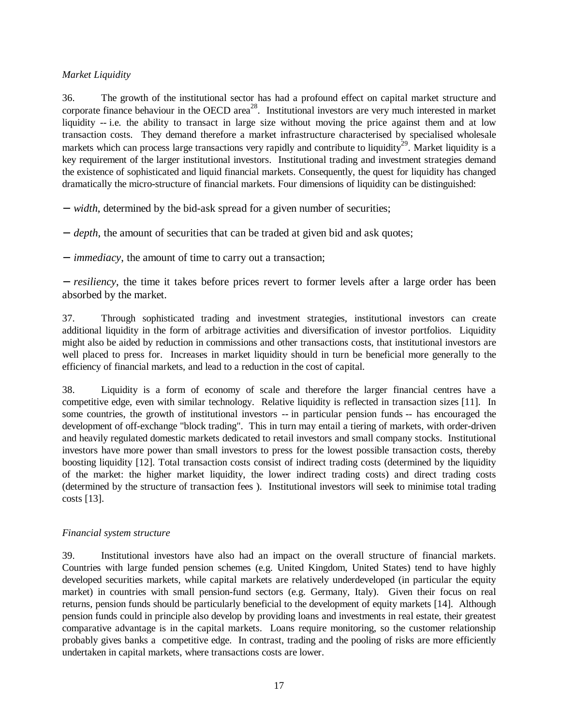## *Market Liquidity*

36. The growth of the institutional sector has had a profound effect on capital market structure and corporate finance behaviour in the OECD area<sup>28</sup>. Institutional investors are very much interested in market liquidity -- i.e. the ability to transact in large size without moving the price against them and at low transaction costs. They demand therefore a market infrastructure characterised by specialised wholesale markets which can process large transactions very rapidly and contribute to liquidity<sup>29</sup>. Market liquidity is a key requirement of the larger institutional investors. Institutional trading and investment strategies demand the existence of sophisticated and liquid financial markets. Consequently, the quest for liquidity has changed dramatically the micro-structure of financial markets. Four dimensions of liquidity can be distinguished:

− *width*, determined by the bid-ask spread for a given number of securities;

− *depth*, the amount of securities that can be traded at given bid and ask quotes;

− *immediacy*, the amount of time to carry out a transaction;

− *resiliency*, the time it takes before prices revert to former levels after a large order has been absorbed by the market.

37. Through sophisticated trading and investment strategies, institutional investors can create additional liquidity in the form of arbitrage activities and diversification of investor portfolios. Liquidity might also be aided by reduction in commissions and other transactions costs, that institutional investors are well placed to press for. Increases in market liquidity should in turn be beneficial more generally to the efficiency of financial markets, and lead to a reduction in the cost of capital.

38. Liquidity is a form of economy of scale and therefore the larger financial centres have a competitive edge, even with similar technology. Relative liquidity is reflected in transaction sizes [11]. In some countries, the growth of institutional investors -- in particular pension funds -- has encouraged the development of off-exchange "block trading". This in turn may entail a tiering of markets, with order-driven and heavily regulated domestic markets dedicated to retail investors and small company stocks. Institutional investors have more power than small investors to press for the lowest possible transaction costs, thereby boosting liquidity [12]. Total transaction costs consist of indirect trading costs (determined by the liquidity of the market: the higher market liquidity, the lower indirect trading costs) and direct trading costs (determined by the structure of transaction fees ). Institutional investors will seek to minimise total trading costs [13].

## *Financial system structure*

39. Institutional investors have also had an impact on the overall structure of financial markets. Countries with large funded pension schemes (e.g. United Kingdom, United States) tend to have highly developed securities markets, while capital markets are relatively underdeveloped (in particular the equity market) in countries with small pension-fund sectors (e.g. Germany, Italy). Given their focus on real returns, pension funds should be particularly beneficial to the development of equity markets [14]. Although pension funds could in principle also develop by providing loans and investments in real estate, their greatest comparative advantage is in the capital markets. Loans require monitoring, so the customer relationship probably gives banks a competitive edge. In contrast, trading and the pooling of risks are more efficiently undertaken in capital markets, where transactions costs are lower.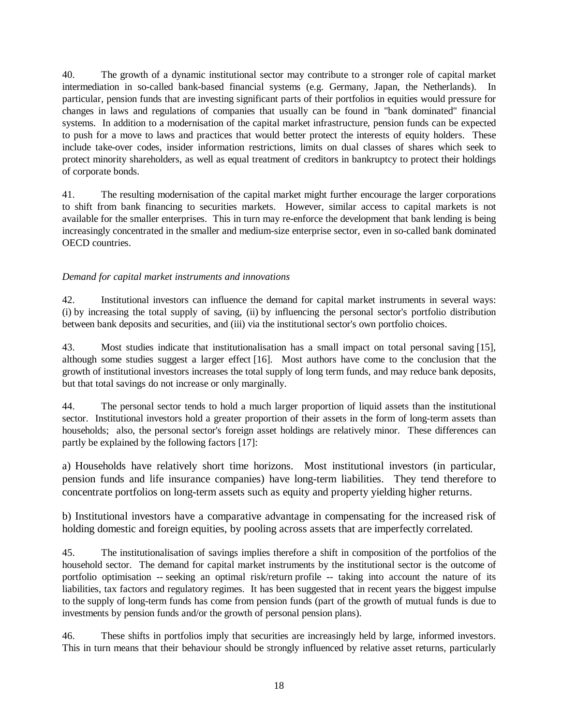40. The growth of a dynamic institutional sector may contribute to a stronger role of capital market intermediation in so-called bank-based financial systems (e.g. Germany, Japan, the Netherlands). In particular, pension funds that are investing significant parts of their portfolios in equities would pressure for changes in laws and regulations of companies that usually can be found in "bank dominated" financial systems. In addition to a modernisation of the capital market infrastructure, pension funds can be expected to push for a move to laws and practices that would better protect the interests of equity holders. These include take-over codes, insider information restrictions, limits on dual classes of shares which seek to protect minority shareholders, as well as equal treatment of creditors in bankruptcy to protect their holdings of corporate bonds.

41. The resulting modernisation of the capital market might further encourage the larger corporations to shift from bank financing to securities markets. However, similar access to capital markets is not available for the smaller enterprises. This in turn may re-enforce the development that bank lending is being increasingly concentrated in the smaller and medium-size enterprise sector, even in so-called bank dominated OECD countries.

### *Demand for capital market instruments and innovations*

42. Institutional investors can influence the demand for capital market instruments in several ways: (i) by increasing the total supply of saving, (ii) by influencing the personal sector's portfolio distribution between bank deposits and securities, and (iii) via the institutional sector's own portfolio choices.

43. Most studies indicate that institutionalisation has a small impact on total personal saving [15], although some studies suggest a larger effect [16]. Most authors have come to the conclusion that the growth of institutional investors increases the total supply of long term funds, and may reduce bank deposits, but that total savings do not increase or only marginally.

44. The personal sector tends to hold a much larger proportion of liquid assets than the institutional sector. Institutional investors hold a greater proportion of their assets in the form of long-term assets than households; also, the personal sector's foreign asset holdings are relatively minor. These differences can partly be explained by the following factors [17]:

a) Households have relatively short time horizons. Most institutional investors (in particular, pension funds and life insurance companies) have long-term liabilities. They tend therefore to concentrate portfolios on long-term assets such as equity and property yielding higher returns.

b) Institutional investors have a comparative advantage in compensating for the increased risk of holding domestic and foreign equities, by pooling across assets that are imperfectly correlated.

45. The institutionalisation of savings implies therefore a shift in composition of the portfolios of the household sector. The demand for capital market instruments by the institutional sector is the outcome of portfolio optimisation -- seeking an optimal risk/return profile -- taking into account the nature of its liabilities, tax factors and regulatory regimes. It has been suggested that in recent years the biggest impulse to the supply of long-term funds has come from pension funds (part of the growth of mutual funds is due to investments by pension funds and/or the growth of personal pension plans).

46. These shifts in portfolios imply that securities are increasingly held by large, informed investors. This in turn means that their behaviour should be strongly influenced by relative asset returns, particularly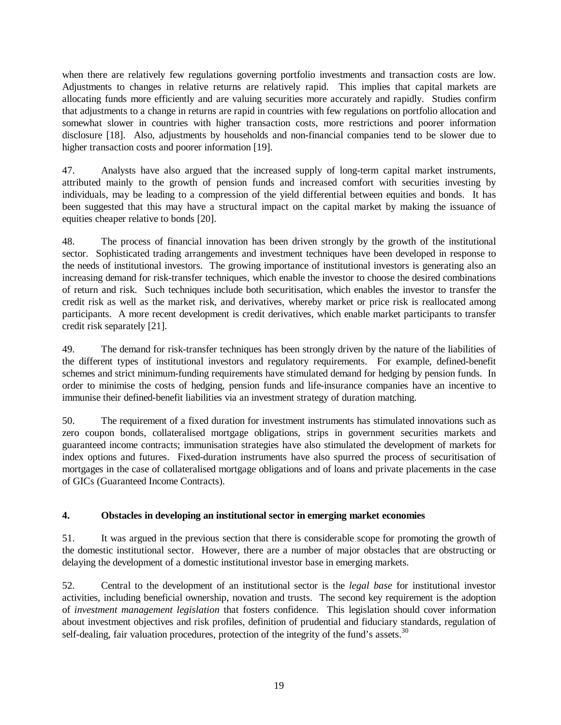when there are relatively few regulations governing portfolio investments and transaction costs are low. Adjustments to changes in relative returns are relatively rapid. This implies that capital markets are allocating funds more efficiently and are valuing securities more accurately and rapidly. Studies confirm that adjustments to a change in returns are rapid in countries with few regulations on portfolio allocation and somewhat slower in countries with higher transaction costs, more restrictions and poorer information disclosure [18]. Also, adjustments by households and non-financial companies tend to be slower due to higher transaction costs and poorer information [19].

47. Analysts have also argued that the increased supply of long-term capital market instruments, attributed mainly to the growth of pension funds and increased comfort with securities investing by individuals, may be leading to a compression of the yield differential between equities and bonds. It has been suggested that this may have a structural impact on the capital market by making the issuance of equities cheaper relative to bonds [20].

48. The process of financial innovation has been driven strongly by the growth of the institutional sector. Sophisticated trading arrangements and investment techniques have been developed in response to the needs of institutional investors. The growing importance of institutional investors is generating also an increasing demand for risk-transfer techniques, which enable the investor to choose the desired combinations of return and risk. Such techniques include both securitisation, which enables the investor to transfer the credit risk as well as the market risk, and derivatives, whereby market or price risk is reallocated among participants. A more recent development is credit derivatives, which enable market participants to transfer credit risk separately [21].

49. The demand for risk-transfer techniques has been strongly driven by the nature of the liabilities of the different types of institutional investors and regulatory requirements. For example, defined-benefit schemes and strict minimum-funding requirements have stimulated demand for hedging by pension funds. In order to minimise the costs of hedging, pension funds and life-insurance companies have an incentive to immunise their defined-benefit liabilities via an investment strategy of duration matching.

50. The requirement of a fixed duration for investment instruments has stimulated innovations such as zero coupon bonds, collateralised mortgage obligations, strips in government securities markets and guaranteed income contracts; immunisation strategies have also stimulated the development of markets for index options and futures. Fixed-duration instruments have also spurred the process of securitisation of mortgages in the case of collateralised mortgage obligations and of loans and private placements in the case of GICs (Guaranteed Income Contracts).

## **4. Obstacles in developing an institutional sector in emerging market economies**

51. It was argued in the previous section that there is considerable scope for promoting the growth of the domestic institutional sector. However, there are a number of major obstacles that are obstructing or delaying the development of a domestic institutional investor base in emerging markets.

52. Central to the development of an institutional sector is the *legal base* for institutional investor activities, including beneficial ownership, novation and trusts. The second key requirement is the adoption of *investment management legislation* that fosters confidence. This legislation should cover information about investment objectives and risk profiles, definition of prudential and fiduciary standards, regulation of self-dealing, fair valuation procedures, protection of the integrity of the fund's assets.<sup>30</sup>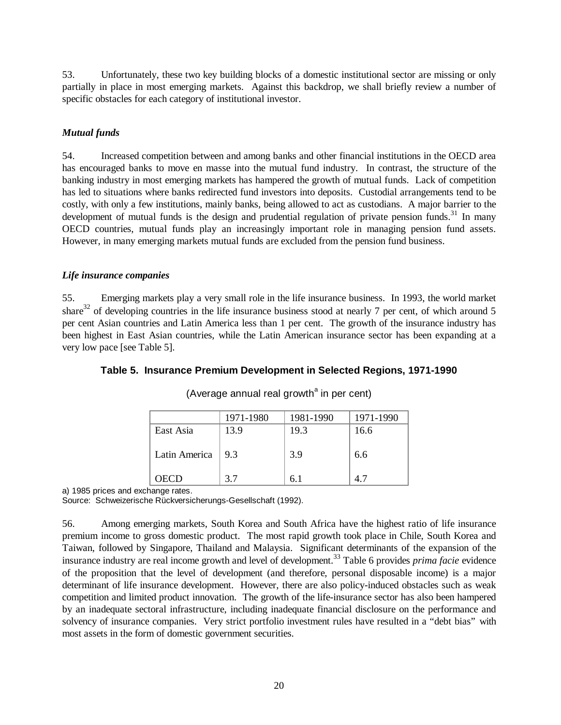53. Unfortunately, these two key building blocks of a domestic institutional sector are missing or only partially in place in most emerging markets. Against this backdrop, we shall briefly review a number of specific obstacles for each category of institutional investor.

### *Mutual funds*

54. Increased competition between and among banks and other financial institutions in the OECD area has encouraged banks to move en masse into the mutual fund industry. In contrast, the structure of the banking industry in most emerging markets has hampered the growth of mutual funds. Lack of competition has led to situations where banks redirected fund investors into deposits. Custodial arrangements tend to be costly, with only a few institutions, mainly banks, being allowed to act as custodians. A major barrier to the development of mutual funds is the design and prudential regulation of private pension funds.<sup>31</sup> In many OECD countries, mutual funds play an increasingly important role in managing pension fund assets. However, in many emerging markets mutual funds are excluded from the pension fund business.

### *Life insurance companies*

55. Emerging markets play a very small role in the life insurance business. In 1993, the world market share<sup>32</sup> of developing countries in the life insurance business stood at nearly 7 per cent, of which around 5 per cent Asian countries and Latin America less than 1 per cent. The growth of the insurance industry has been highest in East Asian countries, while the Latin American insurance sector has been expanding at a very low pace [see Table 5].

## **Table 5. Insurance Premium Development in Selected Regions, 1971-1990**

|               | 1971-1980 | 1981-1990 | 1971-1990 |
|---------------|-----------|-----------|-----------|
| East Asia     | 13.9      | 19.3      | 16.6      |
| Latin America | 9.3       | 3.9       | 6.6       |
| <b>DECD</b>   | 3.7       | 6.1       |           |

(Average annual real growth<sup>a</sup> in per cent)

a) 1985 prices and exchange rates.

Source: Schweizerische Rückversicherungs-Gesellschaft (1992).

56. Among emerging markets, South Korea and South Africa have the highest ratio of life insurance premium income to gross domestic product. The most rapid growth took place in Chile, South Korea and Taiwan, followed by Singapore, Thailand and Malaysia. Significant determinants of the expansion of the insurance industry are real income growth and level of development.<sup>33</sup> Table 6 provides *prima facie* evidence of the proposition that the level of development (and therefore, personal disposable income) is a major determinant of life insurance development. However, there are also policy-induced obstacles such as weak competition and limited product innovation. The growth of the life-insurance sector has also been hampered by an inadequate sectoral infrastructure, including inadequate financial disclosure on the performance and solvency of insurance companies. Very strict portfolio investment rules have resulted in a "debt bias" with most assets in the form of domestic government securities.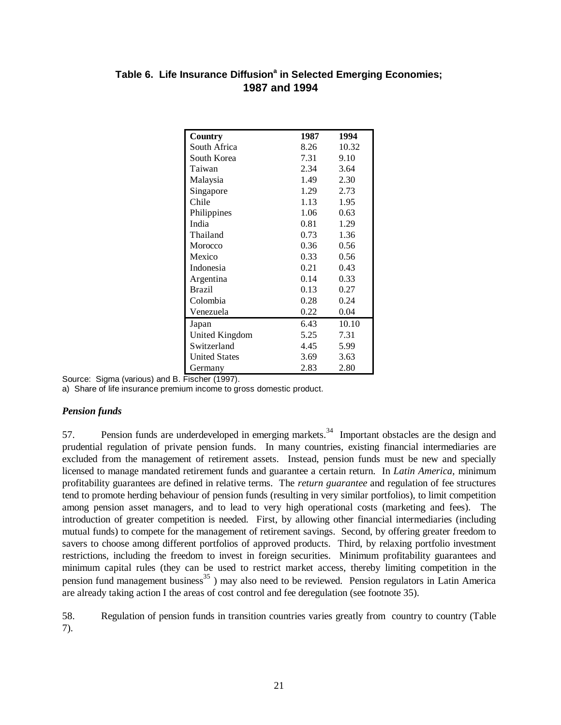# **Table 6. Life Insurance Diffusion<sup>a</sup> in Selected Emerging Economies; 1987 and 1994**

| Country              | 1987 | 1994  |
|----------------------|------|-------|
| South Africa         | 8.26 | 10.32 |
| South Korea          | 7.31 | 9.10  |
| Taiwan               | 2.34 | 3.64  |
| Malaysia             | 1.49 | 2.30  |
| Singapore            | 1.29 | 2.73  |
| Chile                | 1.13 | 1.95  |
| Philippines          | 1.06 | 0.63  |
| India                | 0.81 | 1.29  |
| Thailand             | 0.73 | 1.36  |
| Morocco              | 0.36 | 0.56  |
| Mexico               | 0.33 | 0.56  |
| Indonesia            | 0.21 | 0.43  |
| Argentina            | 0.14 | 0.33  |
| <b>Brazil</b>        | 0.13 | 0.27  |
| Colombia             | 0.28 | 0.24  |
| Venezuela            | 0.22 | 0.04  |
| Japan                | 6.43 | 10.10 |
| United Kingdom       | 5.25 | 7.31  |
| Switzerland          | 4.45 | 5.99  |
| <b>United States</b> | 3.69 | 3.63  |
| Germany              | 2.83 | 2.80  |

Source: Sigma (various) and B. Fischer (1997).

a) Share of life insurance premium income to gross domestic product.

### *Pension funds*

57. Pension funds are underdeveloped in emerging markets.<sup>34</sup> Important obstacles are the design and prudential regulation of private pension funds. In many countries, existing financial intermediaries are excluded from the management of retirement assets. Instead, pension funds must be new and specially licensed to manage mandated retirement funds and guarantee a certain return. In *Latin America*, minimum profitability guarantees are defined in relative terms. The *return guarantee* and regulation of fee structures tend to promote herding behaviour of pension funds (resulting in very similar portfolios), to limit competition among pension asset managers, and to lead to very high operational costs (marketing and fees). The introduction of greater competition is needed. First, by allowing other financial intermediaries (including mutual funds) to compete for the management of retirement savings. Second, by offering greater freedom to savers to choose among different portfolios of approved products. Third, by relaxing portfolio investment restrictions, including the freedom to invest in foreign securities. Minimum profitability guarantees and minimum capital rules (they can be used to restrict market access, thereby limiting competition in the pension fund management business<sup>35</sup>) may also need to be reviewed. Pension regulators in Latin America are already taking action I the areas of cost control and fee deregulation (see footnote 35).

58. Regulation of pension funds in transition countries varies greatly from country to country (Table 7).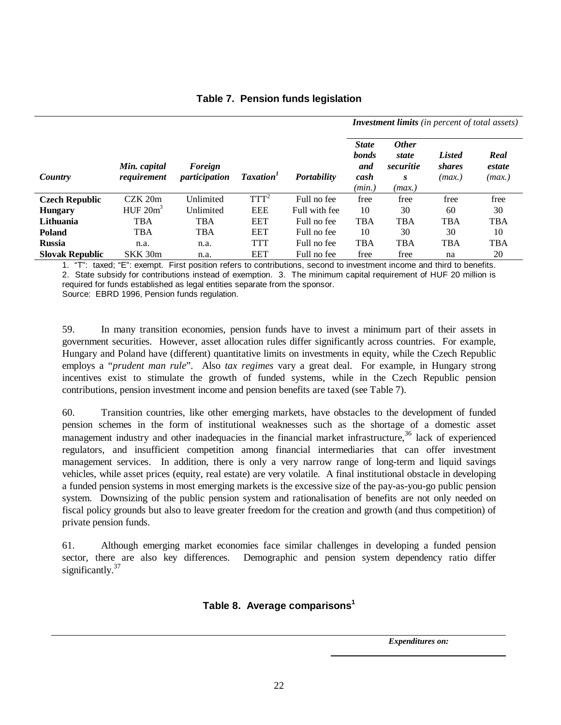|                        |                             |                          |                       |               | <b>Investment limits</b> (in percent of total assets) |                                                   |                                   |                          |  |
|------------------------|-----------------------------|--------------------------|-----------------------|---------------|-------------------------------------------------------|---------------------------------------------------|-----------------------------------|--------------------------|--|
| Country                | Min. capital<br>requirement | Foreign<br>participation | Taxation <sup>1</sup> | Portability   | <b>State</b><br><b>bonds</b><br>and<br>cash<br>(min.) | <b>Other</b><br>state<br>securitie<br>S<br>(max.) | <b>Listed</b><br>shares<br>(тах.) | Real<br>estate<br>(max.) |  |
| <b>Czech Republic</b>  | $CZK$ 20 $m$                | Unlimited                | $TTT^2$               | Full no fee   | free                                                  | free                                              | free                              | free                     |  |
| <b>Hungary</b>         | HUF 20m <sup>3</sup>        | Unlimited                | <b>EEE</b>            | Full with fee | 10                                                    | 30                                                | 60                                | 30                       |  |
| Lithuania              | <b>TBA</b>                  | <b>TBA</b>               | <b>EET</b>            | Full no fee   | <b>TBA</b>                                            | <b>TBA</b>                                        | <b>TBA</b>                        | <b>TBA</b>               |  |
| Poland                 | TBA                         | <b>TBA</b>               | <b>EET</b>            | Full no fee   | 10                                                    | 30                                                | 30                                | 10                       |  |
| <b>Russia</b>          | n.a.                        | n.a.                     | <b>TTT</b>            | Full no fee   | <b>TBA</b>                                            | <b>TBA</b>                                        | <b>TBA</b>                        | <b>TBA</b>               |  |
| <b>Slovak Republic</b> | SKK 30m                     | n.a.                     | <b>EET</b>            | Full no fee   | free                                                  | free                                              | na                                | 20                       |  |

## **Table 7. Pension funds legislation**

1. "T": taxed; "E": exempt. First position refers to contributions, second to investment income and third to benefits. 2. State subsidy for contributions instead of exemption. 3. The minimum capital requirement of HUF 20 million is required for funds established as legal entities separate from the sponsor. Source: EBRD 1996, Pension funds regulation.

59. In many transition economies, pension funds have to invest a minimum part of their assets in government securities. However, asset allocation rules differ significantly across countries. For example, Hungary and Poland have (different) quantitative limits on investments in equity, while the Czech Republic employs a "*prudent man rule*". Also *tax regimes* vary a great deal. For example, in Hungary strong incentives exist to stimulate the growth of funded systems, while in the Czech Republic pension contributions, pension investment income and pension benefits are taxed (see Table 7).

60. Transition countries, like other emerging markets, have obstacles to the development of funded pension schemes in the form of institutional weaknesses such as the shortage of a domestic asset management industry and other inadequacies in the financial market infrastructure,<sup>36</sup> lack of experienced regulators, and insufficient competition among financial intermediaries that can offer investment management services. In addition, there is only a very narrow range of long-term and liquid savings vehicles, while asset prices (equity, real estate) are very volatile. A final institutional obstacle in developing a funded pension systems in most emerging markets is the excessive size of the pay-as-you-go public pension system. Downsizing of the public pension system and rationalisation of benefits are not only needed on fiscal policy grounds but also to leave greater freedom for the creation and growth (and thus competition) of private pension funds.

61. Although emerging market economies face similar challenges in developing a funded pension sector, there are also key differences. Demographic and pension system dependency ratio differ significantly.<sup>37</sup>

# **Table 8. Average comparisons<sup>1</sup>**

*Expenditures on:*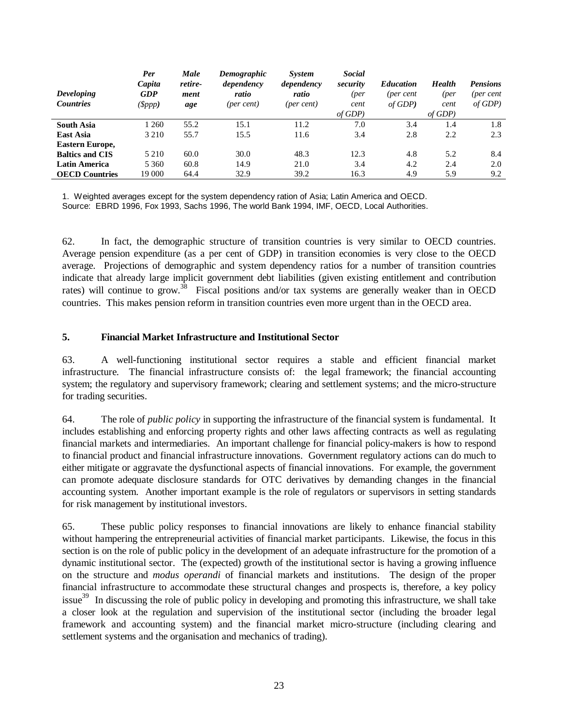| Developing<br><b>Countries</b> | Per<br>Capita<br><b>GDP</b><br>$(\$ppp)$ | Male<br>retire-<br>ment<br>age | Demographic<br>dependency<br>ratio<br>(per cent) | System<br>dependency<br>ratio<br>(per cent) | <b>Social</b><br>security<br>(per<br>cent<br>of GDP | <b>Education</b><br>(per cent<br>of GDP | <b>Health</b><br>(per<br>cent<br>of GDP | <b>Pensions</b><br>(per cent<br>of GDP |
|--------------------------------|------------------------------------------|--------------------------------|--------------------------------------------------|---------------------------------------------|-----------------------------------------------------|-----------------------------------------|-----------------------------------------|----------------------------------------|
| <b>South Asia</b>              | 260                                      | 55.2                           | 15.1                                             | 11.2                                        | 7.0                                                 | 3.4                                     | 1.4                                     | 1.8                                    |
| East Asia                      | 3 2 1 0                                  | 55.7                           | 15.5                                             | 11.6                                        | 3.4                                                 | 2.8                                     | 2.2                                     | 2.3                                    |
| <b>Eastern Europe,</b>         |                                          |                                |                                                  |                                             |                                                     |                                         |                                         |                                        |
| <b>Baltics and CIS</b>         | 5 2 1 0                                  | 60.0                           | 30.0                                             | 48.3                                        | 12.3                                                | 4.8                                     | 5.2                                     | 8.4                                    |
| <b>Latin America</b>           | 5 3 6 0                                  | 60.8                           | 14.9                                             | 21.0                                        | 3.4                                                 | 4.2                                     | 2.4                                     | 2.0                                    |
| <b>OECD Countries</b>          | 19 000                                   | 64.4                           | 32.9                                             | 39.2                                        | 16.3                                                | 4.9                                     | 5.9                                     | 9.2                                    |

1. Weighted averages except for the system dependency ration of Asia; Latin America and OECD. Source: EBRD 1996, Fox 1993, Sachs 1996, The world Bank 1994, IMF, OECD, Local Authorities.

62. In fact, the demographic structure of transition countries is very similar to OECD countries. Average pension expenditure (as a per cent of GDP) in transition economies is very close to the OECD average. Projections of demographic and system dependency ratios for a number of transition countries indicate that already large implicit government debt liabilities (given existing entitlement and contribution rates) will continue to grow.<sup>38</sup> Fiscal positions and/or tax systems are generally weaker than in OECD countries. This makes pension reform in transition countries even more urgent than in the OECD area.

### **5. Financial Market Infrastructure and Institutional Sector**

63. A well-functioning institutional sector requires a stable and efficient financial market infrastructure. The financial infrastructure consists of: the legal framework; the financial accounting system; the regulatory and supervisory framework; clearing and settlement systems; and the micro-structure for trading securities.

64. The role of *public policy* in supporting the infrastructure of the financial system is fundamental. It includes establishing and enforcing property rights and other laws affecting contracts as well as regulating financial markets and intermediaries. An important challenge for financial policy-makers is how to respond to financial product and financial infrastructure innovations. Government regulatory actions can do much to either mitigate or aggravate the dysfunctional aspects of financial innovations. For example, the government can promote adequate disclosure standards for OTC derivatives by demanding changes in the financial accounting system. Another important example is the role of regulators or supervisors in setting standards for risk management by institutional investors.

65. These public policy responses to financial innovations are likely to enhance financial stability without hampering the entrepreneurial activities of financial market participants. Likewise, the focus in this section is on the role of public policy in the development of an adequate infrastructure for the promotion of a dynamic institutional sector. The (expected) growth of the institutional sector is having a growing influence on the structure and *modus operandi* of financial markets and institutions. The design of the proper financial infrastructure to accommodate these structural changes and prospects is, therefore, a key policy issue $39$  In discussing the role of public policy in developing and promoting this infrastructure, we shall take a closer look at the regulation and supervision of the institutional sector (including the broader legal framework and accounting system) and the financial market micro-structure (including clearing and settlement systems and the organisation and mechanics of trading).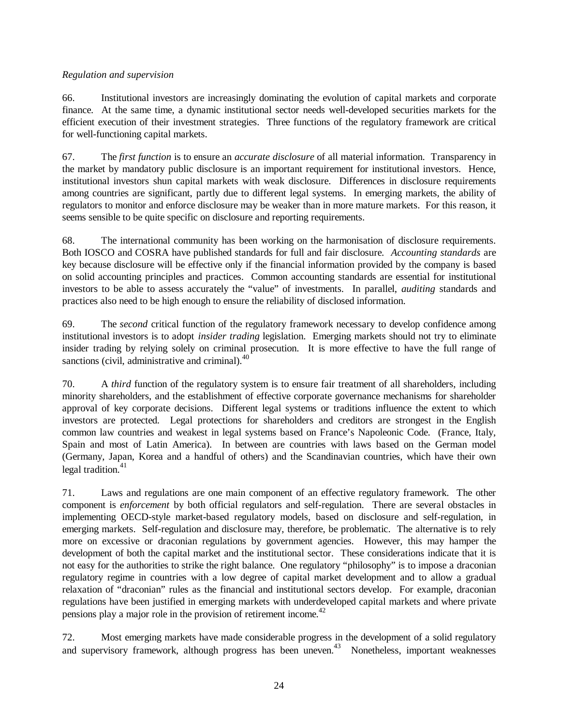## *Regulation and supervision*

66. Institutional investors are increasingly dominating the evolution of capital markets and corporate finance. At the same time, a dynamic institutional sector needs well-developed securities markets for the efficient execution of their investment strategies. Three functions of the regulatory framework are critical for well-functioning capital markets.

67. The *first function* is to ensure an *accurate disclosure* of all material information. Transparency in the market by mandatory public disclosure is an important requirement for institutional investors. Hence, institutional investors shun capital markets with weak disclosure. Differences in disclosure requirements among countries are significant, partly due to different legal systems. In emerging markets, the ability of regulators to monitor and enforce disclosure may be weaker than in more mature markets. For this reason, it seems sensible to be quite specific on disclosure and reporting requirements.

68. The international community has been working on the harmonisation of disclosure requirements. Both IOSCO and COSRA have published standards for full and fair disclosure. *Accounting standards* are key because disclosure will be effective only if the financial information provided by the company is based on solid accounting principles and practices. Common accounting standards are essential for institutional investors to be able to assess accurately the "value" of investments. In parallel, *auditing* standards and practices also need to be high enough to ensure the reliability of disclosed information.

69. The *second* critical function of the regulatory framework necessary to develop confidence among institutional investors is to adopt *insider trading* legislation. Emerging markets should not try to eliminate insider trading by relying solely on criminal prosecution. It is more effective to have the full range of sanctions (civil, administrative and criminal). $40$ 

70. A *third* function of the regulatory system is to ensure fair treatment of all shareholders, including minority shareholders, and the establishment of effective corporate governance mechanisms for shareholder approval of key corporate decisions. Different legal systems or traditions influence the extent to which investors are protected. Legal protections for shareholders and creditors are strongest in the English common law countries and weakest in legal systems based on France's Napoleonic Code. (France, Italy, Spain and most of Latin America). In between are countries with laws based on the German model (Germany, Japan, Korea and a handful of others) and the Scandinavian countries, which have their own legal tradition.<sup>41</sup>

71. Laws and regulations are one main component of an effective regulatory framework. The other component is *enforcement* by both official regulators and self-regulation. There are several obstacles in implementing OECD-style market-based regulatory models, based on disclosure and self-regulation, in emerging markets. Self-regulation and disclosure may, therefore, be problematic. The alternative is to rely more on excessive or draconian regulations by government agencies. However, this may hamper the development of both the capital market and the institutional sector. These considerations indicate that it is not easy for the authorities to strike the right balance. One regulatory "philosophy" is to impose a draconian regulatory regime in countries with a low degree of capital market development and to allow a gradual relaxation of "draconian" rules as the financial and institutional sectors develop. For example, draconian regulations have been justified in emerging markets with underdeveloped capital markets and where private pensions play a major role in the provision of retirement income.<sup>42</sup>

72. Most emerging markets have made considerable progress in the development of a solid regulatory and supervisory framework, although progress has been uneven.<sup>43</sup> Nonetheless, important weaknesses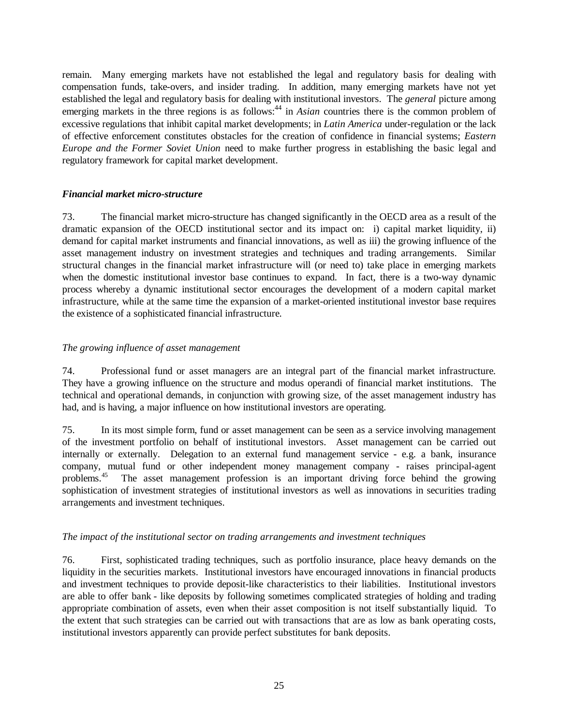remain. Many emerging markets have not established the legal and regulatory basis for dealing with compensation funds, take-overs, and insider trading. In addition, many emerging markets have not yet established the legal and regulatory basis for dealing with institutional investors. The *general* picture among emerging markets in the three regions is as follows:<sup>44</sup> in *Asian* countries there is the common problem of excessive regulations that inhibit capital market developments; in *Latin America* under-regulation or the lack of effective enforcement constitutes obstacles for the creation of confidence in financial systems; *Eastern Europe and the Former Soviet Union* need to make further progress in establishing the basic legal and regulatory framework for capital market development.

#### *Financial market micro-structure*

73. The financial market micro-structure has changed significantly in the OECD area as a result of the dramatic expansion of the OECD institutional sector and its impact on: i) capital market liquidity, ii) demand for capital market instruments and financial innovations, as well as iii) the growing influence of the asset management industry on investment strategies and techniques and trading arrangements. Similar structural changes in the financial market infrastructure will (or need to) take place in emerging markets when the domestic institutional investor base continues to expand. In fact, there is a two-way dynamic process whereby a dynamic institutional sector encourages the development of a modern capital market infrastructure, while at the same time the expansion of a market-oriented institutional investor base requires the existence of a sophisticated financial infrastructure.

### *The growing influence of asset management*

74. Professional fund or asset managers are an integral part of the financial market infrastructure. They have a growing influence on the structure and modus operandi of financial market institutions. The technical and operational demands, in conjunction with growing size, of the asset management industry has had, and is having, a major influence on how institutional investors are operating.

75. In its most simple form, fund or asset management can be seen as a service involving management of the investment portfolio on behalf of institutional investors. Asset management can be carried out internally or externally. Delegation to an external fund management service - e.g. a bank, insurance company, mutual fund or other independent money management company - raises principal-agent problems.<sup>45</sup> The asset management profession is an important driving force behind the growing sophistication of investment strategies of institutional investors as well as innovations in securities trading arrangements and investment techniques.

### *The impact of the institutional sector on trading arrangements and investment techniques*

76. First, sophisticated trading techniques, such as portfolio insurance, place heavy demands on the liquidity in the securities markets. Institutional investors have encouraged innovations in financial products and investment techniques to provide deposit-like characteristics to their liabilities. Institutional investors are able to offer bank - like deposits by following sometimes complicated strategies of holding and trading appropriate combination of assets, even when their asset composition is not itself substantially liquid. To the extent that such strategies can be carried out with transactions that are as low as bank operating costs, institutional investors apparently can provide perfect substitutes for bank deposits.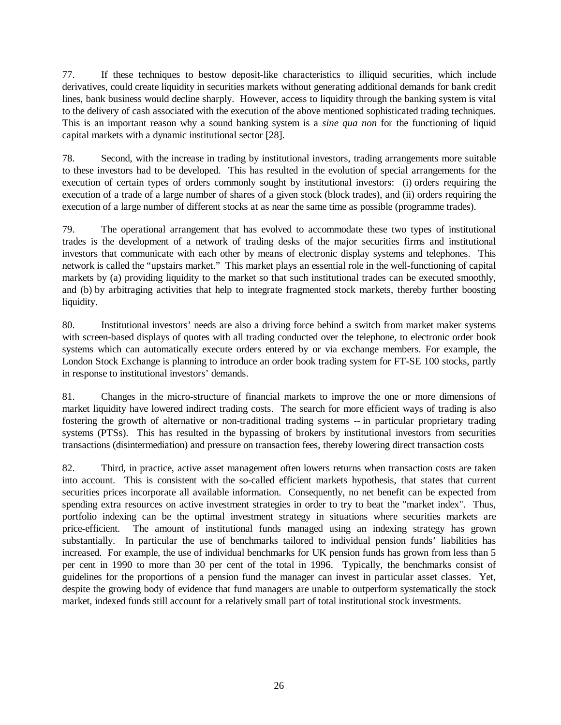77. If these techniques to bestow deposit-like characteristics to illiquid securities, which include derivatives, could create liquidity in securities markets without generating additional demands for bank credit lines, bank business would decline sharply. However, access to liquidity through the banking system is vital to the delivery of cash associated with the execution of the above mentioned sophisticated trading techniques. This is an important reason why a sound banking system is a *sine qua non* for the functioning of liquid capital markets with a dynamic institutional sector [28].

78. Second, with the increase in trading by institutional investors, trading arrangements more suitable to these investors had to be developed. This has resulted in the evolution of special arrangements for the execution of certain types of orders commonly sought by institutional investors: (i) orders requiring the execution of a trade of a large number of shares of a given stock (block trades), and (ii) orders requiring the execution of a large number of different stocks at as near the same time as possible (programme trades).

79. The operational arrangement that has evolved to accommodate these two types of institutional trades is the development of a network of trading desks of the major securities firms and institutional investors that communicate with each other by means of electronic display systems and telephones. This network is called the "upstairs market." This market plays an essential role in the well-functioning of capital markets by (a) providing liquidity to the market so that such institutional trades can be executed smoothly, and (b) by arbitraging activities that help to integrate fragmented stock markets, thereby further boosting liquidity.

80. Institutional investors' needs are also a driving force behind a switch from market maker systems with screen-based displays of quotes with all trading conducted over the telephone, to electronic order book systems which can automatically execute orders entered by or via exchange members. For example, the London Stock Exchange is planning to introduce an order book trading system for FT-SE 100 stocks, partly in response to institutional investors' demands.

81. Changes in the micro-structure of financial markets to improve the one or more dimensions of market liquidity have lowered indirect trading costs. The search for more efficient ways of trading is also fostering the growth of alternative or non-traditional trading systems -- in particular proprietary trading systems (PTSs). This has resulted in the bypassing of brokers by institutional investors from securities transactions (disintermediation) and pressure on transaction fees, thereby lowering direct transaction costs

82. Third, in practice, active asset management often lowers returns when transaction costs are taken into account. This is consistent with the so-called efficient markets hypothesis, that states that current securities prices incorporate all available information. Consequently, no net benefit can be expected from spending extra resources on active investment strategies in order to try to beat the "market index". Thus, portfolio indexing can be the optimal investment strategy in situations where securities markets are price-efficient. The amount of institutional funds managed using an indexing strategy has grown substantially. In particular the use of benchmarks tailored to individual pension funds' liabilities has increased. For example, the use of individual benchmarks for UK pension funds has grown from less than 5 per cent in 1990 to more than 30 per cent of the total in 1996. Typically, the benchmarks consist of guidelines for the proportions of a pension fund the manager can invest in particular asset classes. Yet, despite the growing body of evidence that fund managers are unable to outperform systematically the stock market, indexed funds still account for a relatively small part of total institutional stock investments.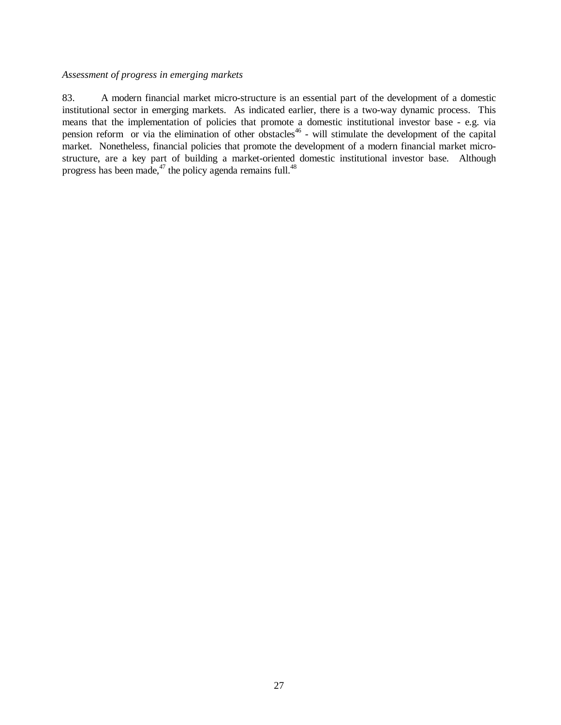#### *Assessment of progress in emerging markets*

83. A modern financial market micro-structure is an essential part of the development of a domestic institutional sector in emerging markets. As indicated earlier, there is a two-way dynamic process. This means that the implementation of policies that promote a domestic institutional investor base - e.g. via pension reform or via the elimination of other obstacles<sup>46</sup> - will stimulate the development of the capital market. Nonetheless, financial policies that promote the development of a modern financial market microstructure, are a key part of building a market-oriented domestic institutional investor base. Although progress has been made,<sup>47</sup> the policy agenda remains full.<sup>48</sup>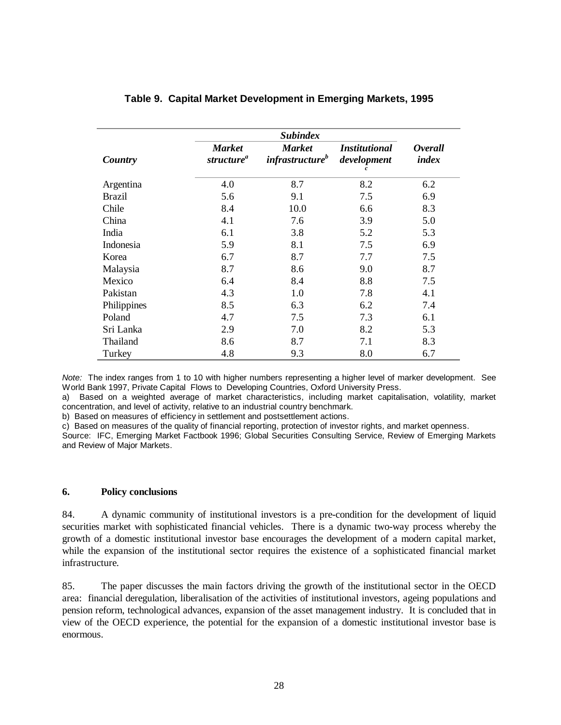| Country       | <b>Market</b><br>structure <sup>a</sup> | <b>Market</b><br><i>infrastructure</i> <sup>b</sup> | <i>Institutional</i><br>development<br>c | <i><b>Overall</b></i><br>index |
|---------------|-----------------------------------------|-----------------------------------------------------|------------------------------------------|--------------------------------|
| Argentina     | 4.0                                     | 8.7                                                 | 8.2                                      | 6.2                            |
| <b>Brazil</b> | 5.6                                     | 9.1                                                 | 7.5                                      | 6.9                            |
| Chile         | 8.4                                     | 10.0                                                | 6.6                                      | 8.3                            |
| China         | 4.1                                     | 7.6                                                 | 3.9                                      | 5.0                            |
| India         | 6.1                                     | 3.8                                                 | 5.2                                      | 5.3                            |
| Indonesia     | 5.9                                     | 8.1                                                 | 7.5                                      | 6.9                            |
| Korea         | 6.7                                     | 8.7                                                 | 7.7                                      | 7.5                            |
| Malaysia      | 8.7                                     | 8.6                                                 | 9.0                                      | 8.7                            |
| Mexico        | 6.4                                     | 8.4                                                 | 8.8                                      | 7.5                            |
| Pakistan      | 4.3                                     | 1.0                                                 | 7.8                                      | 4.1                            |
| Philippines   | 8.5                                     | 6.3                                                 | 6.2                                      | 7.4                            |
| Poland        | 4.7                                     | 7.5                                                 | 7.3                                      | 6.1                            |
| Sri Lanka     | 2.9                                     | 7.0                                                 | 8.2                                      | 5.3                            |
| Thailand      | 8.6                                     | 8.7                                                 | 7.1                                      | 8.3                            |
| Turkey        | 4.8                                     | 9.3                                                 | 8.0                                      | 6.7                            |

### **Table 9. Capital Market Development in Emerging Markets, 1995**

*Note:* The index ranges from 1 to 10 with higher numbers representing a higher level of marker development. See World Bank 1997, Private Capital Flows to Developing Countries, Oxford University Press.

a) Based on a weighted average of market characteristics, including market capitalisation, volatility, market concentration, and level of activity, relative to an industrial country benchmark.

b) Based on measures of efficiency in settlement and postsettlement actions.

c) Based on measures of the quality of financial reporting, protection of investor rights, and market openness.

Source: IFC, Emerging Market Factbook 1996; Global Securities Consulting Service, Review of Emerging Markets and Review of Major Markets.

#### **6. Policy conclusions**

84. A dynamic community of institutional investors is a pre-condition for the development of liquid securities market with sophisticated financial vehicles. There is a dynamic two-way process whereby the growth of a domestic institutional investor base encourages the development of a modern capital market, while the expansion of the institutional sector requires the existence of a sophisticated financial market infrastructure.

85. The paper discusses the main factors driving the growth of the institutional sector in the OECD area: financial deregulation, liberalisation of the activities of institutional investors, ageing populations and pension reform, technological advances, expansion of the asset management industry. It is concluded that in view of the OECD experience, the potential for the expansion of a domestic institutional investor base is enormous.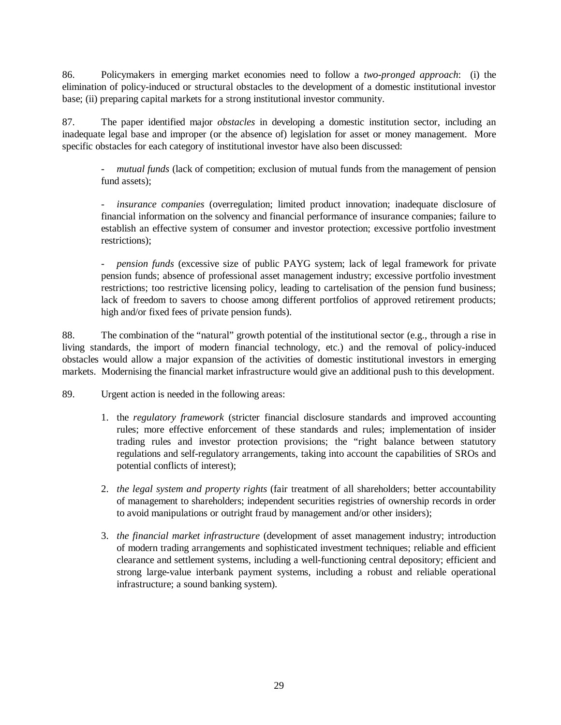86. Policymakers in emerging market economies need to follow a *two-pronged approach*: (i) the elimination of policy-induced or structural obstacles to the development of a domestic institutional investor base; (ii) preparing capital markets for a strong institutional investor community.

87. The paper identified major *obstacles* in developing a domestic institution sector, including an inadequate legal base and improper (or the absence of) legislation for asset or money management. More specific obstacles for each category of institutional investor have also been discussed:

- *mutual funds* (lack of competition; exclusion of mutual funds from the management of pension fund assets):

- *insurance companies* (overregulation; limited product innovation; inadequate disclosure of financial information on the solvency and financial performance of insurance companies; failure to establish an effective system of consumer and investor protection; excessive portfolio investment restrictions);

- *pension funds* (excessive size of public PAYG system; lack of legal framework for private pension funds; absence of professional asset management industry; excessive portfolio investment restrictions; too restrictive licensing policy, leading to cartelisation of the pension fund business; lack of freedom to savers to choose among different portfolios of approved retirement products; high and/or fixed fees of private pension funds).

88. The combination of the "natural" growth potential of the institutional sector (e.g., through a rise in living standards, the import of modern financial technology, etc.) and the removal of policy-induced obstacles would allow a major expansion of the activities of domestic institutional investors in emerging markets. Modernising the financial market infrastructure would give an additional push to this development.

89. Urgent action is needed in the following areas:

- 1. the *regulatory framework* (stricter financial disclosure standards and improved accounting rules; more effective enforcement of these standards and rules; implementation of insider trading rules and investor protection provisions; the "right balance between statutory regulations and self-regulatory arrangements, taking into account the capabilities of SROs and potential conflicts of interest);
- 2. *the legal system and property rights* (fair treatment of all shareholders; better accountability of management to shareholders; independent securities registries of ownership records in order to avoid manipulations or outright fraud by management and/or other insiders);
- 3. *the financial market infrastructure* (development of asset management industry; introduction of modern trading arrangements and sophisticated investment techniques; reliable and efficient clearance and settlement systems, including a well-functioning central depository; efficient and strong large-value interbank payment systems, including a robust and reliable operational infrastructure; a sound banking system).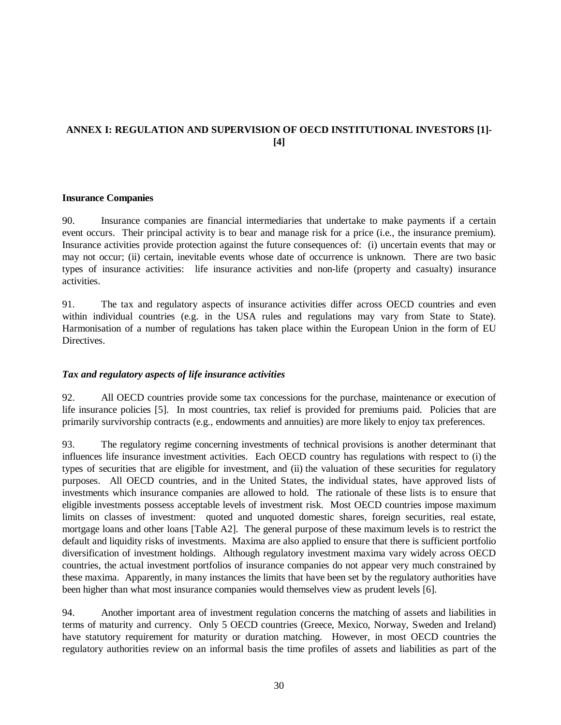## **ANNEX I: REGULATION AND SUPERVISION OF OECD INSTITUTIONAL INVESTORS [1]- [4]**

#### **Insurance Companies**

90. Insurance companies are financial intermediaries that undertake to make payments if a certain event occurs. Their principal activity is to bear and manage risk for a price (i.e., the insurance premium). Insurance activities provide protection against the future consequences of: (i) uncertain events that may or may not occur; (ii) certain, inevitable events whose date of occurrence is unknown. There are two basic types of insurance activities: life insurance activities and non-life (property and casualty) insurance activities.

91. The tax and regulatory aspects of insurance activities differ across OECD countries and even within individual countries (e.g. in the USA rules and regulations may vary from State to State). Harmonisation of a number of regulations has taken place within the European Union in the form of EU Directives.

### *Tax and regulatory aspects of life insurance activities*

92. All OECD countries provide some tax concessions for the purchase, maintenance or execution of life insurance policies [5]. In most countries, tax relief is provided for premiums paid. Policies that are primarily survivorship contracts (e.g., endowments and annuities) are more likely to enjoy tax preferences.

93. The regulatory regime concerning investments of technical provisions is another determinant that influences life insurance investment activities. Each OECD country has regulations with respect to (i) the types of securities that are eligible for investment, and (ii) the valuation of these securities for regulatory purposes. All OECD countries, and in the United States, the individual states, have approved lists of investments which insurance companies are allowed to hold. The rationale of these lists is to ensure that eligible investments possess acceptable levels of investment risk. Most OECD countries impose maximum limits on classes of investment: quoted and unquoted domestic shares, foreign securities, real estate, mortgage loans and other loans [Table A2]. The general purpose of these maximum levels is to restrict the default and liquidity risks of investments. Maxima are also applied to ensure that there is sufficient portfolio diversification of investment holdings. Although regulatory investment maxima vary widely across OECD countries, the actual investment portfolios of insurance companies do not appear very much constrained by these maxima. Apparently, in many instances the limits that have been set by the regulatory authorities have been higher than what most insurance companies would themselves view as prudent levels [6].

94. Another important area of investment regulation concerns the matching of assets and liabilities in terms of maturity and currency. Only 5 OECD countries (Greece, Mexico, Norway, Sweden and Ireland) have statutory requirement for maturity or duration matching. However, in most OECD countries the regulatory authorities review on an informal basis the time profiles of assets and liabilities as part of the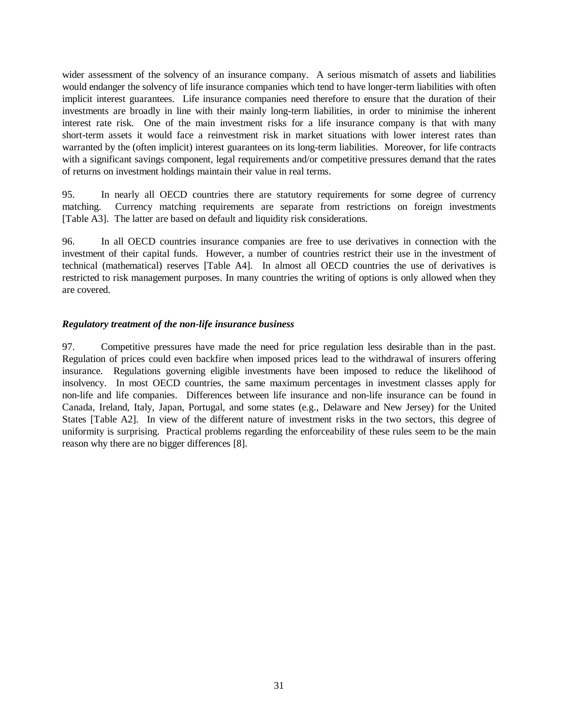wider assessment of the solvency of an insurance company. A serious mismatch of assets and liabilities would endanger the solvency of life insurance companies which tend to have longer-term liabilities with often implicit interest guarantees. Life insurance companies need therefore to ensure that the duration of their investments are broadly in line with their mainly long-term liabilities, in order to minimise the inherent interest rate risk. One of the main investment risks for a life insurance company is that with many short-term assets it would face a reinvestment risk in market situations with lower interest rates than warranted by the (often implicit) interest guarantees on its long-term liabilities. Moreover, for life contracts with a significant savings component, legal requirements and/or competitive pressures demand that the rates of returns on investment holdings maintain their value in real terms.

95. In nearly all OECD countries there are statutory requirements for some degree of currency matching. Currency matching requirements are separate from restrictions on foreign investments [Table A3]. The latter are based on default and liquidity risk considerations.

96. In all OECD countries insurance companies are free to use derivatives in connection with the investment of their capital funds. However, a number of countries restrict their use in the investment of technical (mathematical) reserves [Table A4]. In almost all OECD countries the use of derivatives is restricted to risk management purposes. In many countries the writing of options is only allowed when they are covered.

#### *Regulatory treatment of the non-life insurance business*

97. Competitive pressures have made the need for price regulation less desirable than in the past. Regulation of prices could even backfire when imposed prices lead to the withdrawal of insurers offering insurance. Regulations governing eligible investments have been imposed to reduce the likelihood of insolvency. In most OECD countries, the same maximum percentages in investment classes apply for non-life and life companies. Differences between life insurance and non-life insurance can be found in Canada, Ireland, Italy, Japan, Portugal, and some states (e.g., Delaware and New Jersey) for the United States [Table A2]. In view of the different nature of investment risks in the two sectors, this degree of uniformity is surprising. Practical problems regarding the enforceability of these rules seem to be the main reason why there are no bigger differences [8].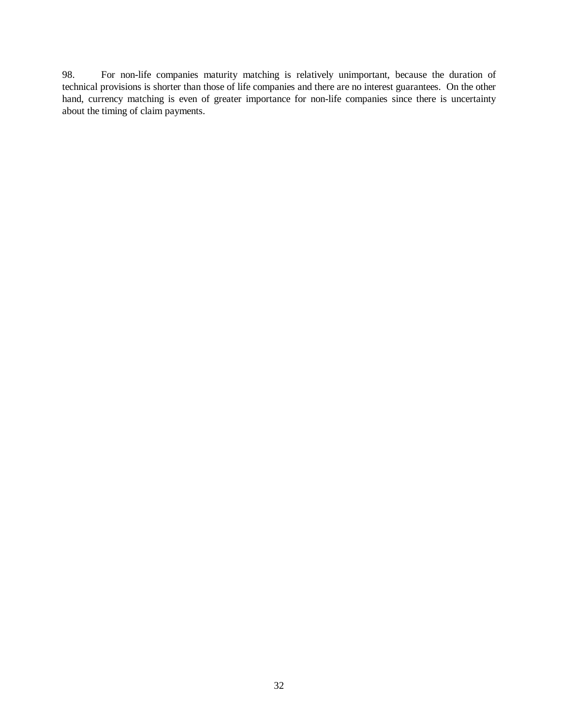98. For non-life companies maturity matching is relatively unimportant, because the duration of technical provisions is shorter than those of life companies and there are no interest guarantees. On the other hand, currency matching is even of greater importance for non-life companies since there is uncertainty about the timing of claim payments.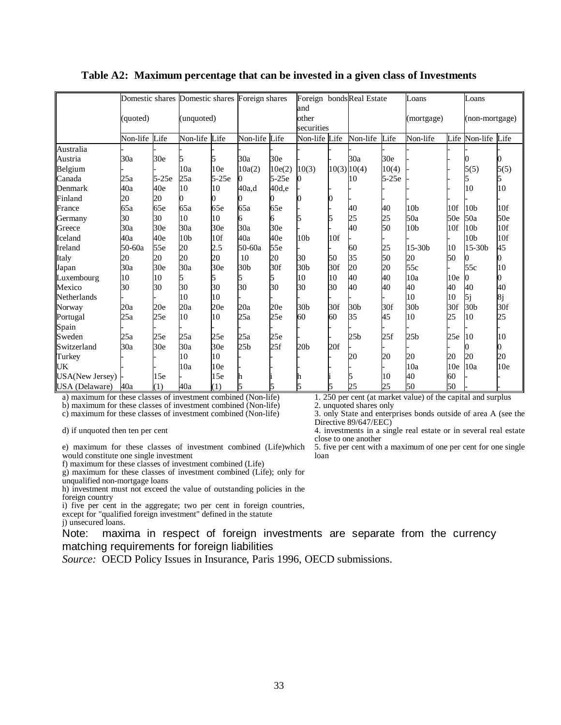|                 |          |                 | Domestic shares Domestic shares Foreign shares |                 |                 |                 | and             |                     | Foreign bondsReal Estate |                 | Loans           |                 | Loans           |                 |  |
|-----------------|----------|-----------------|------------------------------------------------|-----------------|-----------------|-----------------|-----------------|---------------------|--------------------------|-----------------|-----------------|-----------------|-----------------|-----------------|--|
|                 | (quoted) |                 | (unquoted)                                     |                 |                 |                 |                 | other<br>securities |                          |                 |                 | (mortgage)      |                 | (non-mortgage)  |  |
|                 | Non-life | Life            | Non-life Life                                  |                 | Non-life        | Life            | Non-life Life   |                     | Non-life                 | Life            | Non-life        | Life            | Non-life        | Life            |  |
| Australia       |          |                 |                                                |                 |                 |                 |                 |                     |                          |                 |                 |                 |                 |                 |  |
| Austria         | 30a      | 30 <sub>e</sub> |                                                | 5               | 30a             | 30 <sub>e</sub> |                 |                     | 30a                      | 30 <sub>e</sub> |                 |                 |                 |                 |  |
| Belgium         |          |                 | 10a                                            | 10 <sub>e</sub> | 10a(2)          | 10e(2)          | 10(3)           |                     | $10(3)$ $10(4)$          | 10(4)           |                 |                 | 5(5)            | 5(5)            |  |
| Canada          | 25a      | $5-25e$         | 25a                                            | $5-25e$         |                 | $5-25e$         |                 |                     | 10                       | $5-25e$         |                 |                 |                 |                 |  |
| Denmark         | 40a      | 40e             | 10                                             | 10              | 40a,d           | 40d,e           |                 |                     |                          |                 |                 |                 | 10              | 10              |  |
| Finland         | 20       | 20              |                                                |                 |                 |                 |                 |                     |                          |                 |                 |                 |                 |                 |  |
| France          | 65a      | 65e             | 65a                                            | 65e             | 65a             | 65e             |                 |                     | 40                       | 40              | 10 <sub>b</sub> | 10f             | 10 <sub>b</sub> | 10f             |  |
| Germany         | 30       | 30              | 10                                             | 10              | 6               | 6               |                 |                     | 25                       | 25              | 50a             | 50e             | 50a             | 50e             |  |
| Greece          | 30a      | 30e             | 30a                                            | 30e             | 30a             | 30 <sub>e</sub> |                 |                     | 40                       | 50              | 10 <sub>b</sub> | 10f             | 10 <sub>b</sub> | 10f             |  |
| Iceland         | 40a      | 40e             | 10 <sub>b</sub>                                | 10f             | 40a             | 40e             | 10 <sub>b</sub> | 10f                 |                          |                 |                 |                 | 10 <sub>b</sub> | 10f             |  |
| Ireland         | 50-60a   | 55e             | 20                                             | 2.5             | 50-60a          | 55e             |                 |                     | 60                       | 25              | $15 - 30h$      | 10              | $15-30b$        | 45              |  |
| Italy           | 20       | 20              | 20                                             | 20              | 10              | 20              | 30              | 50                  | 35                       | 50              | 20              | 50              |                 | 0               |  |
| Japan           | 30a      | 30 <sub>e</sub> | 30a                                            | 30 <sub>e</sub> | 30 <sub>b</sub> | 30f             | 30 <sub>b</sub> | 30f                 | 20                       | 20              | 55c             |                 | 55c             | 10              |  |
| Luxembourg      | 10       | 10              |                                                | 5               | 5               | 5               | 10              | 10                  | 40                       | 40              | 10a             | 10 <sub>e</sub> |                 |                 |  |
| Mexico          | 30       | 30              | 30                                             | 30              | 30              | 30              | 30              | 30                  | 40                       | 40              | 40              | 40              | 40              | 40              |  |
| Netherlands     |          |                 | 10                                             | 10              |                 |                 |                 |                     |                          |                 | 10              | 10              | 5j              | 8j              |  |
| Norway          | 20a      | 20e             | 20a                                            | 20e             | 20a             | 20e             | 30 <sub>b</sub> | 30f                 | 30 <sub>b</sub>          | 30f             | 30 <sub>b</sub> | 30f             | 30 <sub>b</sub> | 30f             |  |
| Portugal        | 25a      | 25e             | 10                                             | 10              | 25a             | 25e             | 60              | 60                  | 35                       | 45              | 10              | 25              | 10              | 25              |  |
| Spain           |          |                 |                                                |                 |                 |                 |                 |                     |                          |                 |                 |                 |                 |                 |  |
| Sweden          | 25a      | 25e             | 25a                                            | 25e             | 25a             | 25e             |                 |                     | 25 <sub>b</sub>          | 25f             | 25 <sub>b</sub> | 25e             | 10              | 10              |  |
| Switzerland     | 30a      | 30 <sub>e</sub> | 30a                                            | 30 <sub>e</sub> | 25 <sub>b</sub> | 25f             | 20 <sub>b</sub> | 20f                 |                          |                 |                 |                 |                 |                 |  |
| Turkey          |          |                 | 10                                             | 10              |                 |                 |                 |                     | 20                       | 20              | 20              | 20              | 20              | 20              |  |
| UK              |          |                 | 10a                                            | 10 <sub>e</sub> |                 |                 |                 |                     |                          |                 | 10a             | 10 <sub>e</sub> | 10a             | 10 <sub>e</sub> |  |
| USA(New Jersey) |          | 15e             |                                                | 15 <sub>e</sub> |                 |                 |                 |                     |                          | 10              | 40              | 60              |                 |                 |  |
| USA (Delaware)  | 40a      | (1)             | 40a                                            | (1)             |                 |                 |                 |                     | 25                       | 25              | 50              | 50              |                 |                 |  |

### **Table A2: Maximum percentage that can be invested in a given class of Investments**

a) maximum for these classes of investment combined (Non-life) 1. 250 per cent (at market value) of the capital and surplus

b) maximum for these classes of investment combined (Non-life) 2. unquoted shares only<br>c) maximum for these classes of investment combined (Non-life) 3. only State and enterprises bonds outside of area A (see the c) maximum for these classes of investment combined (Non-life)

Directive 89/647/EEC)

d) if unquoted then ten per cent 4. investments in a single real estate or in several real estate close to one another

5. five per cent with a maximum of one per cent for one single loan

e) maximum for these classes of investment combined (Life)which would constitute one single investment

f) maximum for these classes of investment combined (Life)

g) maximum for these classes of investment combined (Life); only for unqualified non-mortgage loans

h) investment must not exceed the value of outstanding policies in the foreign country

i) five per cent in the aggregate; two per cent in foreign countries, except for "qualified foreign investment" defined in the statute

j) unsecured loans.

Note: maxima in respect of foreign investments are separate from the currency matching requirements for foreign liabilities

*Source:* OECD Policy Issues in Insurance, Paris 1996, OECD submissions.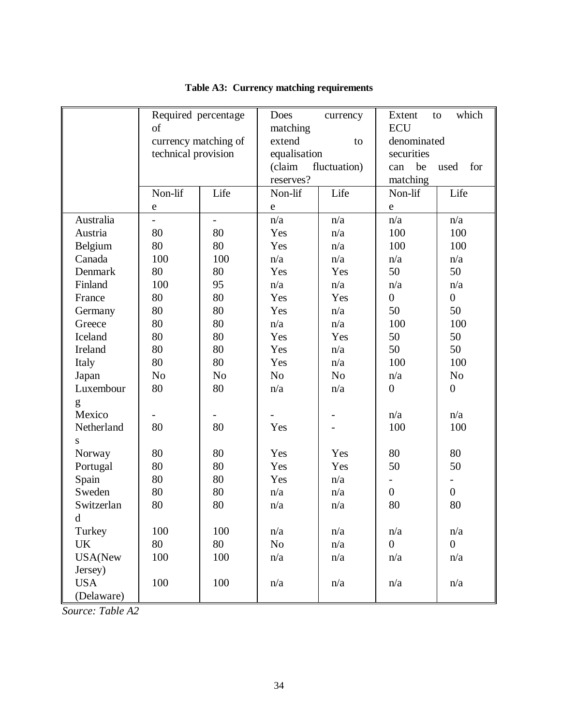|              | Required percentage  |                          | Does<br>currency |                | which<br>Extent<br>to    |                          |  |  |
|--------------|----------------------|--------------------------|------------------|----------------|--------------------------|--------------------------|--|--|
|              | of                   |                          | matching         |                | <b>ECU</b>               |                          |  |  |
|              | currency matching of |                          | extend           | to             | denominated              |                          |  |  |
|              | technical provision  |                          | equalisation     |                | securities               |                          |  |  |
|              |                      |                          | (claim           | fluctuation)   | be<br>for<br>used<br>can |                          |  |  |
|              |                      |                          | reserves?        |                | matching                 |                          |  |  |
|              | Non-lif              | Life                     | Non-lif          | Life           | Non-lif                  | Life                     |  |  |
|              | ${\rm e}$            |                          | e                |                | $\mathbf e$              |                          |  |  |
| Australia    |                      | $\overline{\phantom{0}}$ | n/a              | n/a            | n/a                      | n/a                      |  |  |
| Austria      | 80                   | 80                       | Yes              | n/a            | 100                      | 100                      |  |  |
| Belgium      | 80                   | 80                       | Yes              | n/a            | 100                      | 100                      |  |  |
| Canada       | 100                  | 100                      | n/a              | n/a            | n/a                      | n/a                      |  |  |
| Denmark      | 80                   | 80                       | Yes              | Yes            | 50                       | 50                       |  |  |
| Finland      | 100                  | 95                       | n/a              | n/a            | n/a                      | n/a                      |  |  |
| France       | 80                   | 80                       | Yes              | Yes            | $\overline{0}$           | $\overline{0}$           |  |  |
| Germany      | 80                   | 80                       | Yes              | n/a            | 50                       | 50                       |  |  |
| Greece       | 80                   | 80                       | n/a              | n/a            | 100                      | 100                      |  |  |
| Iceland      | 80                   | 80                       | Yes              | Yes            | 50                       | 50                       |  |  |
| Ireland      | 80                   | 80                       | Yes              | n/a            | 50                       | 50                       |  |  |
| Italy        | 80                   | 80                       | Yes              | n/a            | 100                      | 100                      |  |  |
| Japan        | N <sub>o</sub>       | N <sub>o</sub>           | N <sub>o</sub>   | N <sub>o</sub> | n/a                      | N <sub>o</sub>           |  |  |
| Luxembour    | 80                   | 80                       | n/a              | n/a            | $\overline{0}$           | $\overline{0}$           |  |  |
| g            |                      |                          |                  |                |                          |                          |  |  |
| Mexico       |                      |                          |                  |                | n/a                      | n/a                      |  |  |
| Netherland   | 80                   | 80                       | Yes              |                | 100                      | 100                      |  |  |
| S            |                      |                          |                  |                |                          |                          |  |  |
| Norway       | 80                   | 80                       | Yes              | Yes            | 80                       | 80                       |  |  |
| Portugal     | 80                   | 80                       | Yes              | Yes            | 50                       | 50                       |  |  |
| Spain        | 80                   | 80                       | Yes              | n/a            | $\overline{\phantom{0}}$ | $\overline{\phantom{0}}$ |  |  |
| Sweden       | 80                   | 80                       | n/a              | n/a            | $\boldsymbol{0}$         | $\overline{0}$           |  |  |
| Switzerlan   | 80                   | 80                       | n/a              | n/a            | 80                       | 80                       |  |  |
| <sub>d</sub> |                      |                          |                  |                |                          |                          |  |  |
| Turkey       | 100                  | 100                      | n/a              | n/a            | n/a                      | n/a                      |  |  |
| UK           | 80                   | 80                       | N <sub>o</sub>   | n/a            | $\boldsymbol{0}$         | $\mathbf{0}$             |  |  |
| USA(New      | 100                  | 100                      | n/a              | n/a            | n/a                      | n/a                      |  |  |
| Jersey)      |                      |                          |                  |                |                          |                          |  |  |
| <b>USA</b>   | 100                  | 100                      | n/a              | n/a            | n/a                      | n/a                      |  |  |
| (Delaware)   |                      |                          |                  |                |                          |                          |  |  |

**Table A3: Currency matching requirements**

*Source: Table A2*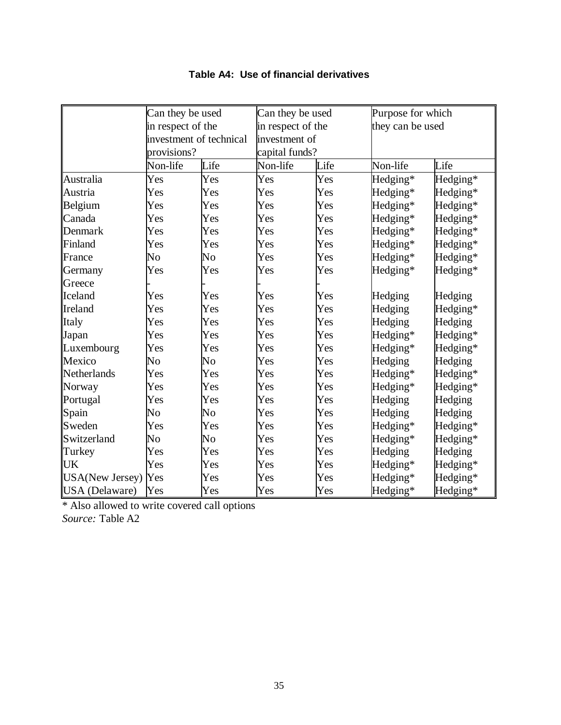|                 | Can they be used        |                        | Can they be used  |                |                  | Purpose for which |  |
|-----------------|-------------------------|------------------------|-------------------|----------------|------------------|-------------------|--|
|                 | in respect of the       |                        | in respect of the |                | they can be used |                   |  |
|                 | investment of technical |                        | investment of     |                |                  |                   |  |
|                 | provisions?             |                        |                   | capital funds? |                  |                   |  |
|                 | Non-life                | Life                   | Non-life          | Life           | Non-life         | Life              |  |
| Australia       | Yes                     | Yes                    | Yes               | Yes            | Hedging*         | Hedging*          |  |
| Austria         | Yes                     | Yes                    | Yes               | Yes            | Hedging*         | Hedging*          |  |
| Belgium         | Yes                     | Yes                    | Yes               | Yes            | Hedging*         | Hedging*          |  |
| Canada          | Yes                     | Yes                    | Yes               | Yes            | Hedging*         | Hedging*          |  |
| Denmark         | Yes                     | Yes                    | Yes               | Yes            | Hedging*         | Hedging*          |  |
| Finland         | Yes                     | Yes                    | Yes               | Yes            | Hedging*         | Hedging*          |  |
| France          | $\overline{N}$          | No                     | Yes               | Yes            | Hedging*         | Hedging*          |  |
| Germany         | Yes                     | Yes                    | Yes               | Yes            | Hedging*         | Hedging*          |  |
| Greece          |                         |                        |                   |                |                  |                   |  |
| Iceland         | Yes                     | Yes                    | Yes               | Yes            | Hedging          | Hedging           |  |
| Ireland         | Yes                     | Yes                    | Yes               | Yes            | Hedging          | Hedging*          |  |
| Italy           | Yes                     | Yes                    | Yes               | Yes            | Hedging          | Hedging           |  |
| Japan           | Yes                     | Yes                    | Yes               | Yes            | Hedging*         | Hedging*          |  |
| Luxembourg      | Yes                     | Yes                    | Yes               | Yes            | Hedging*         | Hedging*          |  |
| Mexico          | No                      | No                     | Yes               | Yes            | Hedging          | Hedging           |  |
| Netherlands     | Yes                     | Yes                    | Yes               | Yes            | Hedging*         | Hedging*          |  |
| Norway          | Yes                     | Yes                    | Yes               | Yes            | Hedging*         | Hedging*          |  |
| Portugal        | Yes                     | Yes                    | Yes               | Yes            | Hedging          | Hedging           |  |
| Spain           | No                      | $\overline{\text{No}}$ | Yes               | Yes            | Hedging          | Hedging           |  |
| Sweden          | Yes                     | Yes                    | Yes               | Yes            | Hedging*         | Hedging*          |  |
| Switzerland     | $\overline{N_{O}}$      | No                     | Yes               | Yes            | Hedging*         | Hedging*          |  |
| Turkey          | Yes                     | Yes                    | Yes               | Yes            | Hedging          | Hedging           |  |
| <b>UK</b>       | Yes                     | Yes                    | Yes               | Yes            | Hedging*         | Hedging*          |  |
| USA(New Jersey) | Yes                     | Yes                    | Yes               | Yes            | Hedging*         | Hedging*          |  |
| USA (Delaware)  | Yes                     | Yes                    | Yes               | Yes            | Hedging*         | Hedging*          |  |

# **Table A4: Use of financial derivatives**

\* Also allowed to write covered call options

*Source:* Table A2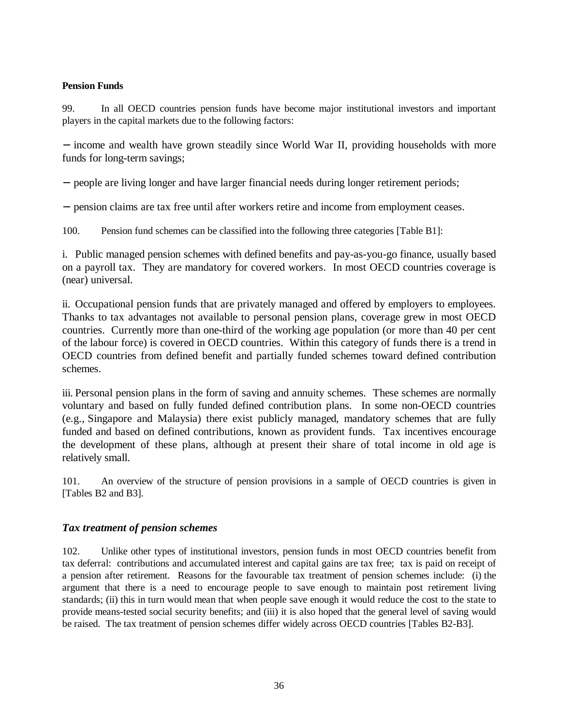## **Pension Funds**

99. In all OECD countries pension funds have become major institutional investors and important players in the capital markets due to the following factors:

− income and wealth have grown steadily since World War II, providing households with more funds for long-term savings;

− people are living longer and have larger financial needs during longer retirement periods;

− pension claims are tax free until after workers retire and income from employment ceases.

100. Pension fund schemes can be classified into the following three categories [Table B1]:

i. Public managed pension schemes with defined benefits and pay-as-you-go finance, usually based on a payroll tax. They are mandatory for covered workers. In most OECD countries coverage is (near) universal.

ii. Occupational pension funds that are privately managed and offered by employers to employees. Thanks to tax advantages not available to personal pension plans, coverage grew in most OECD countries. Currently more than one-third of the working age population (or more than 40 per cent of the labour force) is covered in OECD countries. Within this category of funds there is a trend in OECD countries from defined benefit and partially funded schemes toward defined contribution schemes.

iii. Personal pension plans in the form of saving and annuity schemes. These schemes are normally voluntary and based on fully funded defined contribution plans. In some non-OECD countries (e.g., Singapore and Malaysia) there exist publicly managed, mandatory schemes that are fully funded and based on defined contributions, known as provident funds. Tax incentives encourage the development of these plans, although at present their share of total income in old age is relatively small.

101. An overview of the structure of pension provisions in a sample of OECD countries is given in [Tables B2 and B3].

## *Tax treatment of pension schemes*

102. Unlike other types of institutional investors, pension funds in most OECD countries benefit from tax deferral: contributions and accumulated interest and capital gains are tax free; tax is paid on receipt of a pension after retirement. Reasons for the favourable tax treatment of pension schemes include: (i) the argument that there is a need to encourage people to save enough to maintain post retirement living standards; (ii) this in turn would mean that when people save enough it would reduce the cost to the state to provide means-tested social security benefits; and (iii) it is also hoped that the general level of saving would be raised. The tax treatment of pension schemes differ widely across OECD countries [Tables B2-B3].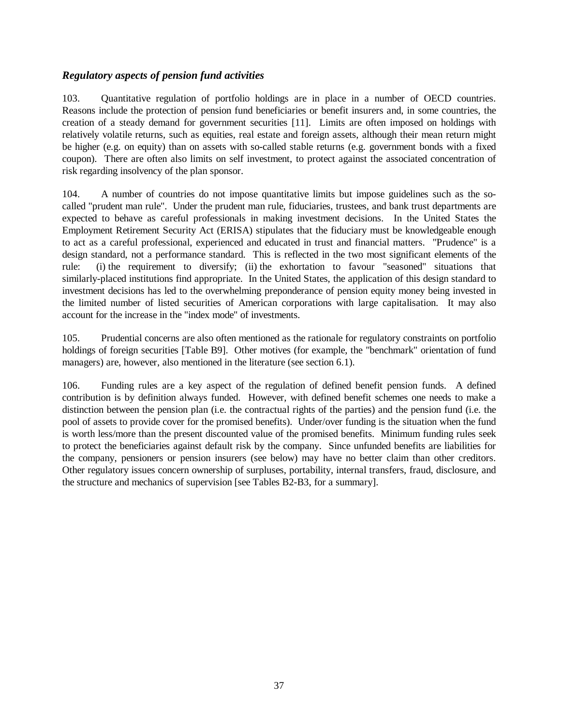## *Regulatory aspects of pension fund activities*

103. Quantitative regulation of portfolio holdings are in place in a number of OECD countries. Reasons include the protection of pension fund beneficiaries or benefit insurers and, in some countries, the creation of a steady demand for government securities [11]. Limits are often imposed on holdings with relatively volatile returns, such as equities, real estate and foreign assets, although their mean return might be higher (e.g. on equity) than on assets with so-called stable returns (e.g. government bonds with a fixed coupon). There are often also limits on self investment, to protect against the associated concentration of risk regarding insolvency of the plan sponsor.

104. A number of countries do not impose quantitative limits but impose guidelines such as the socalled "prudent man rule". Under the prudent man rule, fiduciaries, trustees, and bank trust departments are expected to behave as careful professionals in making investment decisions. In the United States the Employment Retirement Security Act (ERISA) stipulates that the fiduciary must be knowledgeable enough to act as a careful professional, experienced and educated in trust and financial matters. "Prudence" is a design standard, not a performance standard. This is reflected in the two most significant elements of the rule: (i) the requirement to diversify; (ii) the exhortation to favour "seasoned" situations that similarly-placed institutions find appropriate. In the United States, the application of this design standard to investment decisions has led to the overwhelming preponderance of pension equity money being invested in the limited number of listed securities of American corporations with large capitalisation. It may also account for the increase in the "index mode" of investments.

105. Prudential concerns are also often mentioned as the rationale for regulatory constraints on portfolio holdings of foreign securities [Table B9]. Other motives (for example, the "benchmark" orientation of fund managers) are, however, also mentioned in the literature (see section 6.1).

106. Funding rules are a key aspect of the regulation of defined benefit pension funds. A defined contribution is by definition always funded. However, with defined benefit schemes one needs to make a distinction between the pension plan (i.e. the contractual rights of the parties) and the pension fund (i.e. the pool of assets to provide cover for the promised benefits). Under/over funding is the situation when the fund is worth less/more than the present discounted value of the promised benefits. Minimum funding rules seek to protect the beneficiaries against default risk by the company. Since unfunded benefits are liabilities for the company, pensioners or pension insurers (see below) may have no better claim than other creditors. Other regulatory issues concern ownership of surpluses, portability, internal transfers, fraud, disclosure, and the structure and mechanics of supervision [see Tables B2-B3, for a summary].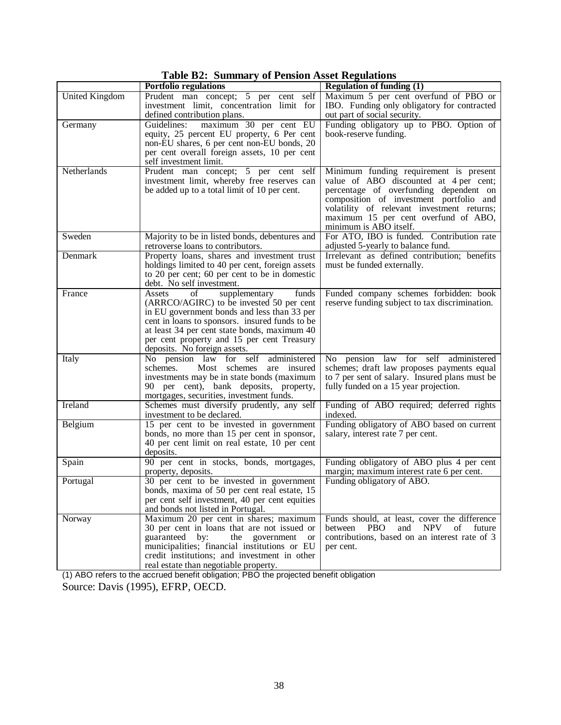|                | <b>Portfolio regulations</b>                                                                                                                                                                                                                                                                                      | <b>Regulation of funding (1)</b>                                                                                                                                                                                                                                                      |
|----------------|-------------------------------------------------------------------------------------------------------------------------------------------------------------------------------------------------------------------------------------------------------------------------------------------------------------------|---------------------------------------------------------------------------------------------------------------------------------------------------------------------------------------------------------------------------------------------------------------------------------------|
| United Kingdom | Prudent man concept; 5 per cent self<br>investment limit, concentration limit for<br>defined contribution plans.                                                                                                                                                                                                  | Maximum 5 per cent overfund of PBO or<br>IBO. Funding only obligatory for contracted<br>out part of social security.                                                                                                                                                                  |
| Germany        | maximum 30 per cent EU<br>Guidelines:<br>equity, 25 percent EU property, 6 Per cent<br>non-EU shares, 6 per cent non-EU bonds, 20<br>per cent overall foreign assets, 10 per cent<br>self investment limit.                                                                                                       | Funding obligatory up to PBO. Option of<br>book-reserve funding.                                                                                                                                                                                                                      |
| Netherlands    | Prudent man concept; 5 per cent self<br>investment limit, whereby free reserves can<br>be added up to a total limit of 10 per cent.                                                                                                                                                                               | Minimum funding requirement is present<br>value of ABO discounted at 4 per cent;<br>percentage of overfunding dependent on<br>composition of investment portfolio and<br>volatility of relevant investment returns;<br>maximum 15 per cent overfund of ABO,<br>minimum is ABO itself. |
| Sweden         | Majority to be in listed bonds, debentures and<br>retroverse loans to contributors.                                                                                                                                                                                                                               | For ATO, IBO is funded. Contribution rate<br>adjusted 5-yearly to balance fund.                                                                                                                                                                                                       |
| Denmark        | Property loans, shares and investment trust<br>holdings limited to 40 per cent, foreign assets<br>to 20 per cent; 60 per cent to be in domestic<br>debt. No self investment.                                                                                                                                      | Irrelevant as defined contribution; benefits<br>must be funded externally.                                                                                                                                                                                                            |
| France         | Assets<br>of<br>supplementary<br>funds<br>(ARRCO/AGIRC) to be invested 50 per cent<br>in EU government bonds and less than 33 per<br>cent in loans to sponsors. insured funds to be<br>at least 34 per cent state bonds, maximum 40<br>per cent property and 15 per cent Treasury<br>deposits. No foreign assets. | Funded company schemes forbidden: book<br>reserve funding subject to tax discrimination.                                                                                                                                                                                              |
| Italy          | No pension law for self<br>administered<br>Most schemes<br>schemes.<br>are insured<br>investments may be in state bonds (maximum<br>90 per cent), bank deposits, property,<br>mortgages, securities, investment funds.                                                                                            | No pension law for self administered<br>schemes; draft law proposes payments equal<br>to 7 per sent of salary. Insured plans must be<br>fully funded on a 15 year projection.                                                                                                         |
| Ireland        | Schemes must diversify prudently, any self<br>investment to be declared.                                                                                                                                                                                                                                          | Funding of ABO required; deferred rights<br>indexed.                                                                                                                                                                                                                                  |
| Belgium        | 15 per cent to be invested in government<br>bonds, no more than 15 per cent in sponsor,<br>40 per cent limit on real estate, 10 per cent<br>deposits.                                                                                                                                                             | Funding obligatory of ABO based on current<br>salary, interest rate 7 per cent.                                                                                                                                                                                                       |
| Spain          | 90 per cent in stocks, bonds, mortgages,<br>property, deposits.                                                                                                                                                                                                                                                   | Funding obligatory of ABO plus 4 per cent<br>margin; maximum interest rate 6 per cent.                                                                                                                                                                                                |
| Portugal       | 30 per cent to be invested in government<br>bonds, maxima of 50 per cent real estate, 15<br>per cent self investment, 40 per cent equities<br>and bonds not listed in Portugal.                                                                                                                                   | Funding obligatory of ABO.                                                                                                                                                                                                                                                            |
| Norway         | Maximum 20 per cent in shares; maximum<br>30 per cent in loans that are not issued or<br>guaranteed<br>by:<br>the<br>government<br><b>or</b><br>municipalities; financial institutions or EU<br>credit institutions; and investment in other<br>real estate than negotiable property.                             | Funds should, at least, cover the difference<br><b>PBO</b><br><b>NPV</b><br>of<br>between<br>and<br>future<br>contributions, based on an interest rate of 3<br>per cent.                                                                                                              |

**Table B2: Summary of Pension Asset Regulations**

(1) ABO refers to the accrued benefit obligation; PBO the projected benefit obligation

Source: Davis (1995), EFRP, OECD.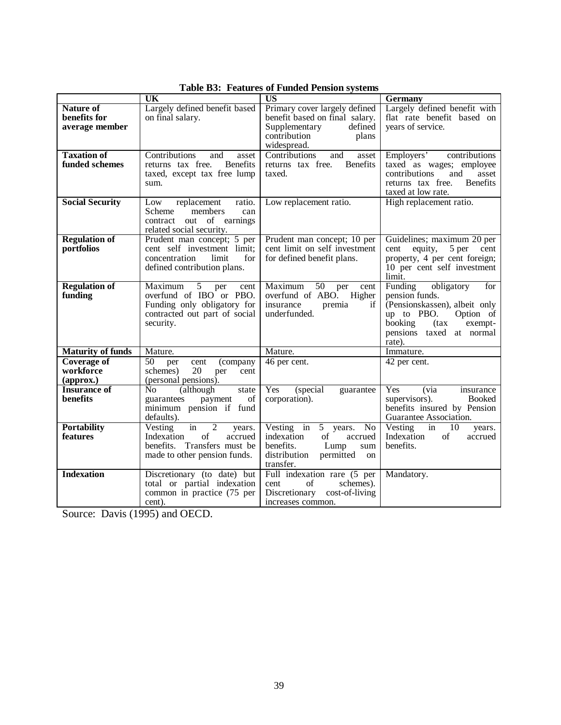|                                                    | Table Do. Teatures of Funded Fension systems<br><b>US</b>                                                                                                   |                                                                                                                                          |                                                                                                                                                                       |  |  |  |
|----------------------------------------------------|-------------------------------------------------------------------------------------------------------------------------------------------------------------|------------------------------------------------------------------------------------------------------------------------------------------|-----------------------------------------------------------------------------------------------------------------------------------------------------------------------|--|--|--|
|                                                    | UK                                                                                                                                                          |                                                                                                                                          | Germany                                                                                                                                                               |  |  |  |
| <b>Nature of</b><br>benefits for<br>average member | Largely defined benefit based<br>on final salary.                                                                                                           | Primary cover largely defined<br>benefit based on final salary.<br>Supplementary<br>defined<br>contribution<br>plans<br>widespread.      | Largely defined benefit with<br>flat rate benefit based on<br>vears of service.                                                                                       |  |  |  |
| <b>Taxation of</b><br>funded schemes               | Contributions<br>and<br>asset<br><b>Benefits</b><br>returns tax free.<br>taxed, except tax free lump<br>sum.                                                | asset<br>Contributions<br>and<br><b>Benefits</b><br>returns tax free.<br>taxed.                                                          | Employers'<br>contributions<br>taxed as wages; employee<br>contributions<br>and<br>asset<br>returns tax free.<br><b>Benefits</b><br>taxed at low rate.                |  |  |  |
| <b>Social Security</b>                             | Low replacement<br>ratio.<br>Scheme members<br>can<br>contract out of earnings<br>related social security.                                                  | Low replacement ratio.                                                                                                                   | High replacement ratio.                                                                                                                                               |  |  |  |
| <b>Regulation of</b><br>portfolios                 | Prudent man concept; 5 per<br>cent self investment limit;<br>concentration<br>limit<br>for<br>defined contribution plans.                                   | Prudent man concept; 10 per<br>cent limit on self investment<br>for defined benefit plans.                                               | Guidelines; maximum 20 per<br>equity,<br>5 per cent<br>cent<br>property, 4 per cent foreign;<br>10 per cent self investment<br>limit.                                 |  |  |  |
| <b>Regulation of</b><br>funding                    | $\overline{\text{Maximum}}$ 5 per<br>cent<br>overfund of IBO or PBO.<br>Funding only obligatory for<br>contracted out part of social<br>security.           | $Maximum \quad 50$ per<br>cent<br>overfund of ABO. Higher<br>insurance<br>if<br>premia<br>underfunded.                                   | Funding obligatory for<br>pension funds.<br>(Pensionskassen), albeit only<br>up to PBO. Option of<br>booking<br>(tax<br>exempt-<br>pensions taxed at normal<br>rate). |  |  |  |
| <b>Maturity of funds</b>                           | Mature.                                                                                                                                                     | Mature.                                                                                                                                  | Immature.                                                                                                                                                             |  |  |  |
| <b>Coverage of</b>                                 | 50<br>per<br>(company<br>cent                                                                                                                               | 46 per cent.                                                                                                                             | 42 per cent.                                                                                                                                                          |  |  |  |
| workforce                                          | schemes)<br>20<br>per<br>cent                                                                                                                               |                                                                                                                                          |                                                                                                                                                                       |  |  |  |
| (approx.)                                          | (personal pensions).                                                                                                                                        |                                                                                                                                          |                                                                                                                                                                       |  |  |  |
| <b>Insurance of</b><br><b>benefits</b>             | $\overline{\text{No}}$<br>(although)<br>state<br>of<br>guarantees<br>payment<br>minimum pension if fund<br>defaults).                                       | Yes (special<br>guarantee<br>corporation).                                                                                               | Yes<br>(via<br>insurance<br>supervisors).<br><b>Booked</b><br>benefits insured by Pension<br>Guarantee Association.                                                   |  |  |  |
| <b>Portability</b><br>features                     | $\overline{\text{in}}$<br>$\overline{2}$<br>Vesting<br>years.<br>Indexation<br>of<br>accrued<br>benefits. Transfers must be<br>made to other pension funds. | Vesting in $5$ years. No<br>indexation<br>$\sigma$ f<br>accrued<br>benefits. Lump<br>sum<br>distribution<br>permitted<br>on<br>transfer. | Vesting in<br>10<br>years.<br>Indexation<br>of<br>accrued<br>benefits.                                                                                                |  |  |  |
| <b>Indexation</b>                                  | Discretionary (to date) but<br>total or partial indexation<br>common in practice (75 per<br>cent).                                                          | Full indexation rare (5 per<br>cent<br>of<br>schemes).<br>Discretionary cost-of-living<br>increases common.                              | Mandatory.                                                                                                                                                            |  |  |  |

Source: Davis (1995) and OECD.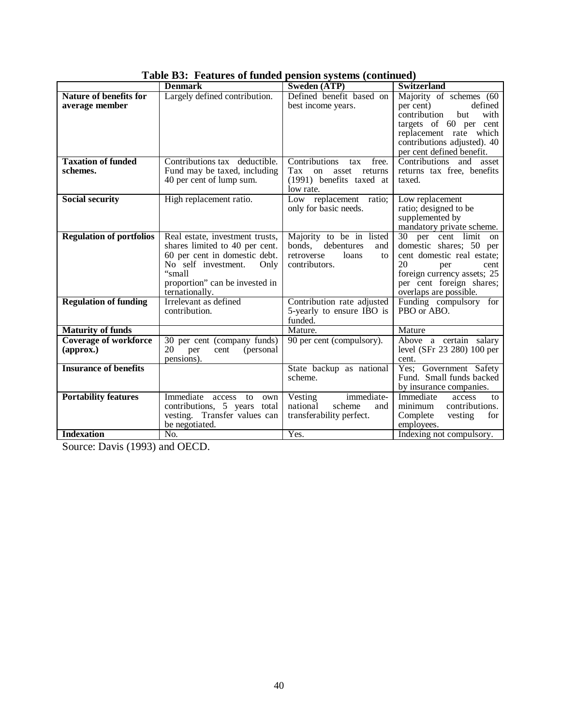|                                                                                          | <b>Denmark</b>                                                                                                                                                                                  | $Sweden$ $(ATP)$                                                                                              | <b>Switzerland</b>                                                                                                                                                                                                                                         |
|------------------------------------------------------------------------------------------|-------------------------------------------------------------------------------------------------------------------------------------------------------------------------------------------------|---------------------------------------------------------------------------------------------------------------|------------------------------------------------------------------------------------------------------------------------------------------------------------------------------------------------------------------------------------------------------------|
| <b>Nature of benefits for</b><br>average member<br><b>Taxation of funded</b><br>schemes. | Largely defined contribution.<br>Contributions tax deductible.<br>Fund may be taxed, including                                                                                                  | Defined benefit based on<br>best income years.<br>Contributions<br>free.<br>tax<br>Tax<br>asset returns<br>on | Majority of schemes (60<br>per cent)<br>defined<br>contribution<br>with<br>but<br>targets of 60 per cent<br>replacement rate which<br>contributions adjusted). 40<br>per cent defined benefit.<br>Contributions and<br>asset<br>returns tax free, benefits |
|                                                                                          | 40 per cent of lump sum.                                                                                                                                                                        | (1991) benefits taxed at<br>low rate.                                                                         | taxed.                                                                                                                                                                                                                                                     |
| <b>Social security</b>                                                                   | High replacement ratio.                                                                                                                                                                         | Low replacement ratio;<br>only for basic needs.                                                               | Low replacement<br>ratio; designed to be<br>supplemented by<br>mandatory private scheme.                                                                                                                                                                   |
| <b>Regulation of portfolios</b>                                                          | Real estate, investment trusts,<br>shares limited to 40 per cent.<br>60 per cent in domestic debt.<br>No self investment.<br>Only<br>"small<br>proportion" can be invested in<br>ternationally. | Majority to be in listed<br>bonds.<br>debentures<br>and<br>retroverse<br>loans<br>to<br>contributors.         | 30<br>per cent limit<br>on<br>domestic shares; 50 per<br>cent domestic real estate;<br>20<br>per<br>cent<br>foreign currency assets; 25<br>per cent foreign shares;<br>overlaps are possible.                                                              |
| <b>Regulation of funding</b>                                                             | Irrelevant as defined<br>contribution.                                                                                                                                                          | Contribution rate adjusted<br>5-yearly to ensure IBO is<br>funded.                                            | Funding compulsory for<br>PBO or ABO.                                                                                                                                                                                                                      |
| <b>Maturity of funds</b>                                                                 |                                                                                                                                                                                                 | Mature.                                                                                                       | Mature                                                                                                                                                                                                                                                     |
| <b>Coverage of workforce</b><br>$\left($ approx. $\right)$                               | 30 per cent (company funds)<br>20<br>(personal)<br>per<br>cent<br>pensions).                                                                                                                    | 90 per cent (compulsory).                                                                                     | Above a certain salary<br>level (SFr 23 280) 100 per<br>cent.                                                                                                                                                                                              |
| <b>Insurance of benefits</b>                                                             |                                                                                                                                                                                                 | State backup as national<br>scheme.                                                                           | Yes; Government Safety<br>Fund. Small funds backed<br>by insurance companies.                                                                                                                                                                              |
| <b>Portability features</b>                                                              | Immediate<br>access<br>to<br>own<br>contributions, 5 years total<br>vesting. Transfer values can<br>be negotiated.                                                                              | immediate-<br>Vesting<br>national<br>scheme<br>and<br>transferability perfect.                                | Immediate<br>access<br>to<br>minimum<br>contributions.<br>Complete<br>vesting<br>for<br>employees.                                                                                                                                                         |
| <b>Indexation</b>                                                                        | No.                                                                                                                                                                                             | Yes.                                                                                                          | Indexing not compulsory.                                                                                                                                                                                                                                   |

**Table B3: Features of funded pension systems (continued)**

Source: Davis (1993) and OECD.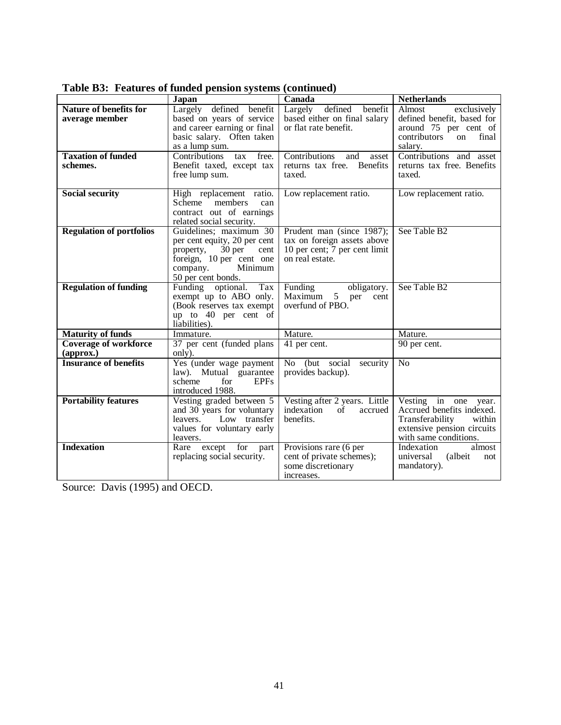|                                                    | rabic Dor - reatures of funded pension systems (continueu)<br>Japan                                                                                         | Canada                                                                                                       | <b>Netherlands</b>                                                                                                                    |
|----------------------------------------------------|-------------------------------------------------------------------------------------------------------------------------------------------------------------|--------------------------------------------------------------------------------------------------------------|---------------------------------------------------------------------------------------------------------------------------------------|
| <b>Nature of benefits for</b><br>average member    | Largely defined benefit<br>based on years of service<br>and career earning or final<br>basic salary. Often taken<br>as a lump sum.                          | Largely defined benefit<br>based either on final salary<br>or flat rate benefit.                             | Almost<br>exclusively<br>defined benefit, based for<br>around 75 per cent of<br>contributors<br>final<br><sub>on</sub><br>salary.     |
| <b>Taxation of funded</b><br>schemes.              | Contributions<br>free.<br>tax<br>Benefit taxed, except tax<br>free lump sum.                                                                                | Contributions<br>and<br>asset<br>returns tax free. Benefits<br>taxed.                                        | Contributions and asset<br>returns tax free. Benefits<br>taxed.                                                                       |
| <b>Social security</b>                             | High replacement ratio.<br>Scheme members<br>can<br>contract out of earnings<br>related social security.                                                    | Low replacement ratio.                                                                                       | Low replacement ratio.                                                                                                                |
| <b>Regulation of portfolios</b>                    | Guidelines; maximum 30<br>per cent equity, 20 per cent<br>property, 30 per<br>cent<br>foreign, 10 per cent one<br>Minimum<br>company.<br>50 per cent bonds. | Prudent man (since 1987);<br>tax on foreign assets above<br>10 per cent; 7 per cent limit<br>on real estate. | See Table B2                                                                                                                          |
| <b>Regulation of funding</b>                       | Funding optional.<br>Tax<br>exempt up to ABO only.<br>(Book reserves tax exempt<br>up to 40 per cent of<br>liabilities).                                    | Funding obligatory.<br>Maximum 5 per<br>cent<br>overfund of PBO.                                             | See Table B2                                                                                                                          |
| <b>Maturity of funds</b>                           | Immature.                                                                                                                                                   | Mature.                                                                                                      | Mature.                                                                                                                               |
| <b>Coverage of workforce</b><br>$(\text{approx.})$ | 37 per cent (funded plans)<br>only).                                                                                                                        | $\overline{41}$ per cent.                                                                                    | $\overline{90}$ per cent.                                                                                                             |
| <b>Insurance of benefits</b>                       | Yes (under wage payment<br>law). Mutual guarantee<br>for<br><b>EPFs</b><br>scheme<br>introduced 1988.                                                       | No (but social security<br>provides backup).                                                                 | N <sub>o</sub>                                                                                                                        |
| <b>Portability features</b>                        | Vesting graded between 5<br>and 30 years for voluntary<br>leavers. Low transfer<br>values for voluntary early<br>leavers.                                   | Vesting after 2 years. Little<br>indexation<br>accrued<br>of<br>benefits.                                    | Vesting in one year.<br>Accrued benefits indexed.<br>Transferability<br>within<br>extensive pension circuits<br>with same conditions. |
| <b>Indexation</b>                                  | Rare except for part<br>replacing social security.                                                                                                          | Provisions rare (6 per<br>cent of private schemes);<br>some discretionary<br>increases.                      | Indexation<br>almost<br>universal<br>(albeit)<br>not<br>mandatory).                                                                   |

**Table B3: Features of funded pension systems (continued)**

Source: Davis (1995) and OECD.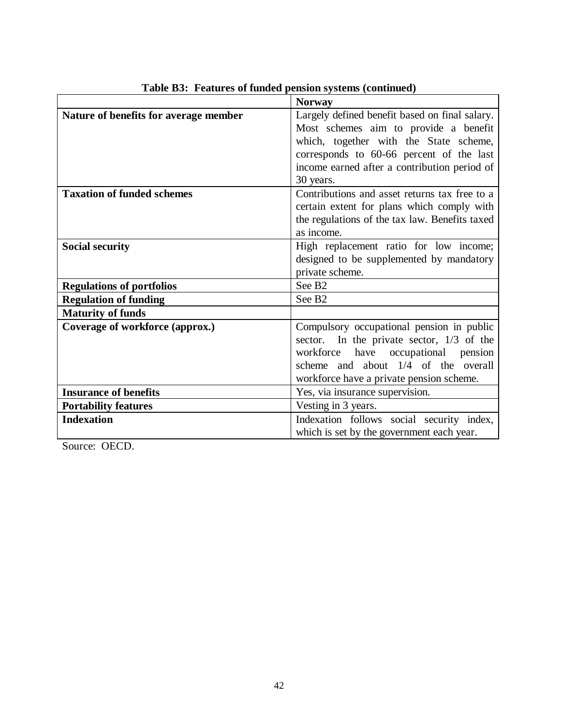|                                       | <b>Norway</b>                                  |  |  |
|---------------------------------------|------------------------------------------------|--|--|
| Nature of benefits for average member | Largely defined benefit based on final salary. |  |  |
|                                       | Most schemes aim to provide a benefit          |  |  |
|                                       | which, together with the State scheme,         |  |  |
|                                       | corresponds to 60-66 percent of the last       |  |  |
|                                       | income earned after a contribution period of   |  |  |
|                                       | 30 years.                                      |  |  |
| <b>Taxation of funded schemes</b>     | Contributions and asset returns tax free to a  |  |  |
|                                       | certain extent for plans which comply with     |  |  |
|                                       | the regulations of the tax law. Benefits taxed |  |  |
|                                       | as income.                                     |  |  |
| <b>Social security</b>                | High replacement ratio for low income;         |  |  |
|                                       | designed to be supplemented by mandatory       |  |  |
|                                       | private scheme.                                |  |  |
| <b>Regulations of portfolios</b>      | See B <sub>2</sub>                             |  |  |
| <b>Regulation of funding</b>          | See B <sub>2</sub>                             |  |  |
| <b>Maturity of funds</b>              |                                                |  |  |
| Coverage of workforce (approx.)       | Compulsory occupational pension in public      |  |  |
|                                       | sector. In the private sector, 1/3 of the      |  |  |
|                                       | workforce<br>have occupational pension         |  |  |
|                                       | scheme and about 1/4 of the overall            |  |  |
|                                       | workforce have a private pension scheme.       |  |  |
| <b>Insurance of benefits</b>          | Yes, via insurance supervision.                |  |  |
| <b>Portability features</b>           | Vesting in 3 years.                            |  |  |
| <b>Indexation</b>                     | Indexation follows social security index,      |  |  |
|                                       | which is set by the government each year.      |  |  |

**Table B3: Features of funded pension systems (continued)**

Source: OECD.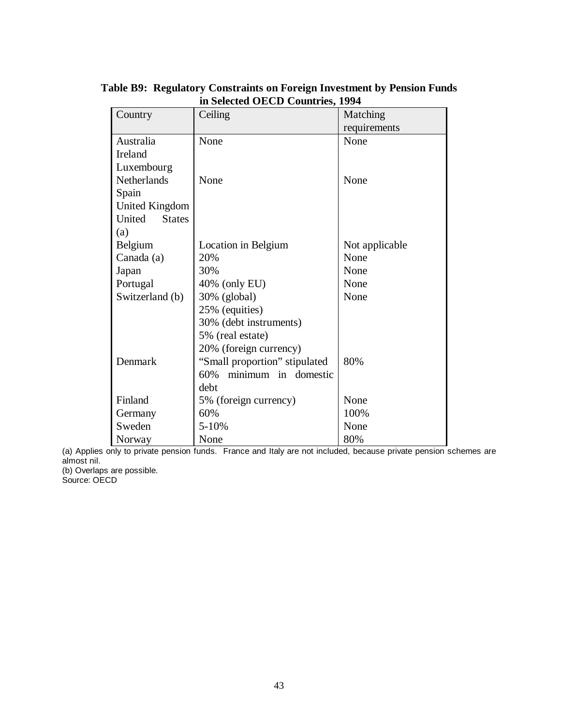| Country                 | Ceiling                       | Matching       |
|-------------------------|-------------------------------|----------------|
|                         |                               | requirements   |
| Australia               | None                          | None           |
| Ireland                 |                               |                |
| Luxembourg              |                               |                |
| Netherlands             | None                          | None           |
| Spain                   |                               |                |
| <b>United Kingdom</b>   |                               |                |
| United<br><b>States</b> |                               |                |
| (a)                     |                               |                |
| Belgium                 | Location in Belgium           | Not applicable |
| Canada (a)              | 20%                           | None           |
| Japan                   | 30%                           | None           |
| Portugal                | 40% (only EU)                 | None           |
| Switzerland (b)         | 30% (global)                  | None           |
|                         | 25% (equities)                |                |
|                         | 30% (debt instruments)        |                |
|                         | 5% (real estate)              |                |
|                         | 20% (foreign currency)        |                |
| Denmark                 | "Small proportion" stipulated | 80%            |
|                         | 60%<br>minimum in domestic    |                |
|                         | debt                          |                |
| Finland                 | 5% (foreign currency)         | None           |
| Germany                 | 60%                           | 100%           |
| Sweden                  | 5-10%                         | None           |
| Norway                  | None                          | 80%            |

# **Table B9: Regulatory Constraints on Foreign Investment by Pension Funds in Selected OECD Countries, 1994**

(a) Applies only to private pension funds. France and Italy are not included, because private pension schemes are almost nil.

(b) Overlaps are possible. Source: OECD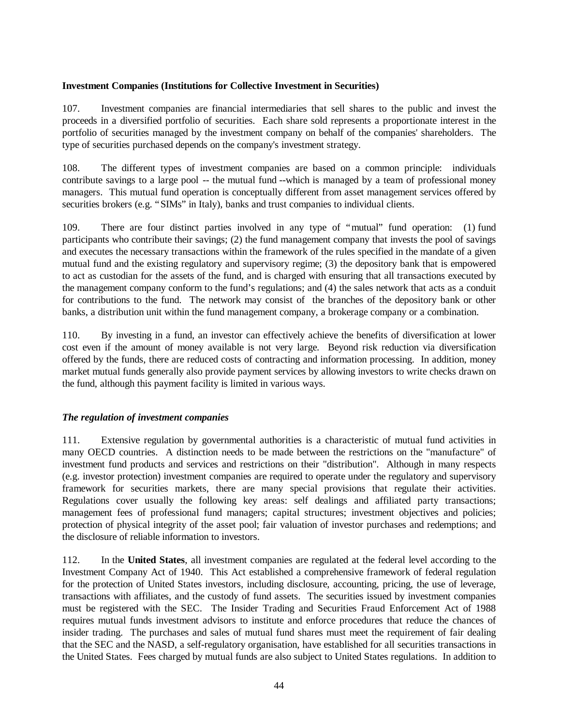## **Investment Companies (Institutions for Collective Investment in Securities)**

107. Investment companies are financial intermediaries that sell shares to the public and invest the proceeds in a diversified portfolio of securities. Each share sold represents a proportionate interest in the portfolio of securities managed by the investment company on behalf of the companies' shareholders. The type of securities purchased depends on the company's investment strategy.

108. The different types of investment companies are based on a common principle: individuals contribute savings to a large pool -- the mutual fund --which is managed by a team of professional money managers. This mutual fund operation is conceptually different from asset management services offered by securities brokers (e.g. "SIMs" in Italy), banks and trust companies to individual clients.

109. There are four distinct parties involved in any type of "mutual" fund operation: (1) fund participants who contribute their savings; (2) the fund management company that invests the pool of savings and executes the necessary transactions within the framework of the rules specified in the mandate of a given mutual fund and the existing regulatory and supervisory regime; (3) the depository bank that is empowered to act as custodian for the assets of the fund, and is charged with ensuring that all transactions executed by the management company conform to the fund's regulations; and (4) the sales network that acts as a conduit for contributions to the fund. The network may consist of the branches of the depository bank or other banks, a distribution unit within the fund management company, a brokerage company or a combination.

110. By investing in a fund, an investor can effectively achieve the benefits of diversification at lower cost even if the amount of money available is not very large. Beyond risk reduction via diversification offered by the funds, there are reduced costs of contracting and information processing. In addition, money market mutual funds generally also provide payment services by allowing investors to write checks drawn on the fund, although this payment facility is limited in various ways.

## *The regulation of investment companies*

111. Extensive regulation by governmental authorities is a characteristic of mutual fund activities in many OECD countries. A distinction needs to be made between the restrictions on the "manufacture" of investment fund products and services and restrictions on their "distribution". Although in many respects (e.g. investor protection) investment companies are required to operate under the regulatory and supervisory framework for securities markets, there are many special provisions that regulate their activities. Regulations cover usually the following key areas: self dealings and affiliated party transactions; management fees of professional fund managers; capital structures; investment objectives and policies; protection of physical integrity of the asset pool; fair valuation of investor purchases and redemptions; and the disclosure of reliable information to investors.

112. In the **United States**, all investment companies are regulated at the federal level according to the Investment Company Act of 1940. This Act established a comprehensive framework of federal regulation for the protection of United States investors, including disclosure, accounting, pricing, the use of leverage, transactions with affiliates, and the custody of fund assets. The securities issued by investment companies must be registered with the SEC. The Insider Trading and Securities Fraud Enforcement Act of 1988 requires mutual funds investment advisors to institute and enforce procedures that reduce the chances of insider trading. The purchases and sales of mutual fund shares must meet the requirement of fair dealing that the SEC and the NASD, a self-regulatory organisation, have established for all securities transactions in the United States. Fees charged by mutual funds are also subject to United States regulations. In addition to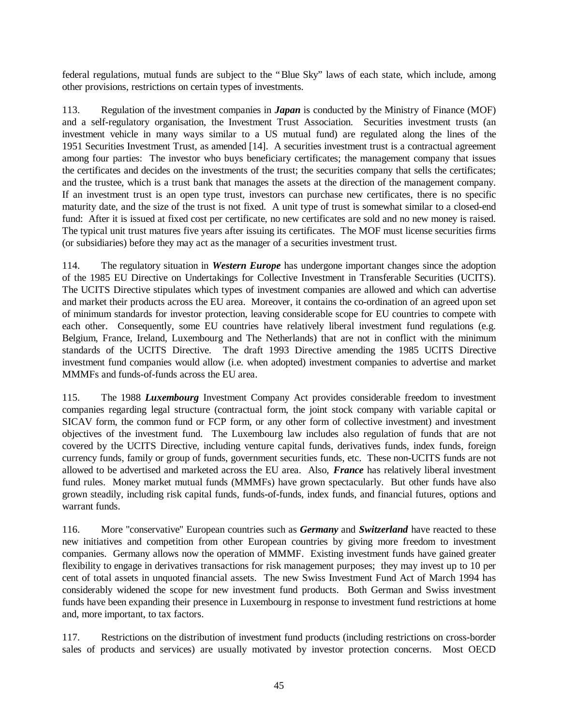federal regulations, mutual funds are subject to the "Blue Sky" laws of each state, which include, among other provisions, restrictions on certain types of investments.

113. Regulation of the investment companies in *Japan* is conducted by the Ministry of Finance (MOF) and a self-regulatory organisation, the Investment Trust Association. Securities investment trusts (an investment vehicle in many ways similar to a US mutual fund) are regulated along the lines of the 1951 Securities Investment Trust, as amended [14]. A securities investment trust is a contractual agreement among four parties: The investor who buys beneficiary certificates; the management company that issues the certificates and decides on the investments of the trust; the securities company that sells the certificates; and the trustee, which is a trust bank that manages the assets at the direction of the management company. If an investment trust is an open type trust, investors can purchase new certificates, there is no specific maturity date, and the size of the trust is not fixed. A unit type of trust is somewhat similar to a closed-end fund: After it is issued at fixed cost per certificate, no new certificates are sold and no new money is raised. The typical unit trust matures five years after issuing its certificates. The MOF must license securities firms (or subsidiaries) before they may act as the manager of a securities investment trust.

114. The regulatory situation in *Western Europe* has undergone important changes since the adoption of the 1985 EU Directive on Undertakings for Collective Investment in Transferable Securities (UCITS). The UCITS Directive stipulates which types of investment companies are allowed and which can advertise and market their products across the EU area. Moreover, it contains the co-ordination of an agreed upon set of minimum standards for investor protection, leaving considerable scope for EU countries to compete with each other. Consequently, some EU countries have relatively liberal investment fund regulations (e.g. Belgium, France, Ireland, Luxembourg and The Netherlands) that are not in conflict with the minimum standards of the UCITS Directive. The draft 1993 Directive amending the 1985 UCITS Directive investment fund companies would allow (i.e. when adopted) investment companies to advertise and market MMMFs and funds-of-funds across the EU area.

115. The 1988 *Luxembourg* Investment Company Act provides considerable freedom to investment companies regarding legal structure (contractual form, the joint stock company with variable capital or SICAV form, the common fund or FCP form, or any other form of collective investment) and investment objectives of the investment fund. The Luxembourg law includes also regulation of funds that are not covered by the UCITS Directive, including venture capital funds, derivatives funds, index funds, foreign currency funds, family or group of funds, government securities funds, etc. These non-UCITS funds are not allowed to be advertised and marketed across the EU area. Also, *France* has relatively liberal investment fund rules. Money market mutual funds (MMMFs) have grown spectacularly. But other funds have also grown steadily, including risk capital funds, funds-of-funds, index funds, and financial futures, options and warrant funds.

116. More "conservative" European countries such as *Germany* and *Switzerland* have reacted to these new initiatives and competition from other European countries by giving more freedom to investment companies. Germany allows now the operation of MMMF. Existing investment funds have gained greater flexibility to engage in derivatives transactions for risk management purposes; they may invest up to 10 per cent of total assets in unquoted financial assets. The new Swiss Investment Fund Act of March 1994 has considerably widened the scope for new investment fund products. Both German and Swiss investment funds have been expanding their presence in Luxembourg in response to investment fund restrictions at home and, more important, to tax factors.

117. Restrictions on the distribution of investment fund products (including restrictions on cross-border sales of products and services) are usually motivated by investor protection concerns. Most OECD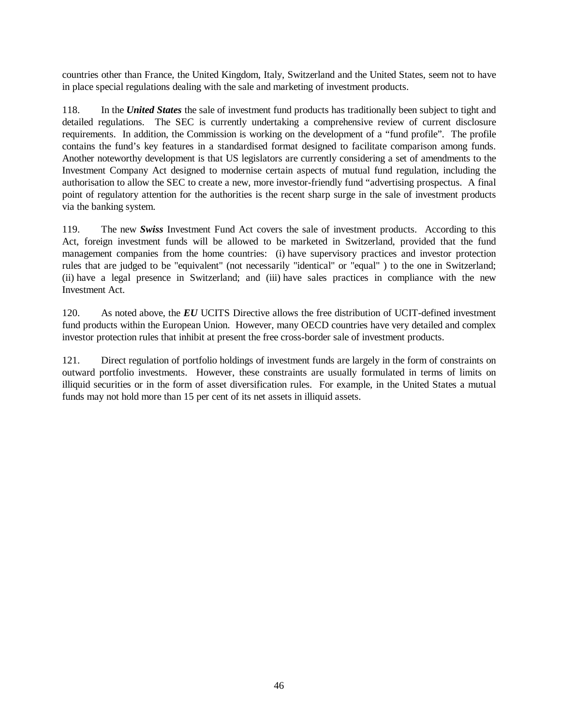countries other than France, the United Kingdom, Italy, Switzerland and the United States, seem not to have in place special regulations dealing with the sale and marketing of investment products.

118. In the *United States* the sale of investment fund products has traditionally been subject to tight and detailed regulations. The SEC is currently undertaking a comprehensive review of current disclosure requirements. In addition, the Commission is working on the development of a "fund profile". The profile contains the fund's key features in a standardised format designed to facilitate comparison among funds. Another noteworthy development is that US legislators are currently considering a set of amendments to the Investment Company Act designed to modernise certain aspects of mutual fund regulation, including the authorisation to allow the SEC to create a new, more investor-friendly fund "advertising prospectus. A final point of regulatory attention for the authorities is the recent sharp surge in the sale of investment products via the banking system.

119. The new *Swiss* Investment Fund Act covers the sale of investment products. According to this Act, foreign investment funds will be allowed to be marketed in Switzerland, provided that the fund management companies from the home countries: (i) have supervisory practices and investor protection rules that are judged to be "equivalent" (not necessarily "identical" or "equal" ) to the one in Switzerland; (ii) have a legal presence in Switzerland; and (iii) have sales practices in compliance with the new Investment Act.

120. As noted above, the *EU* UCITS Directive allows the free distribution of UCIT-defined investment fund products within the European Union. However, many OECD countries have very detailed and complex investor protection rules that inhibit at present the free cross-border sale of investment products.

121. Direct regulation of portfolio holdings of investment funds are largely in the form of constraints on outward portfolio investments. However, these constraints are usually formulated in terms of limits on illiquid securities or in the form of asset diversification rules. For example, in the United States a mutual funds may not hold more than 15 per cent of its net assets in illiquid assets.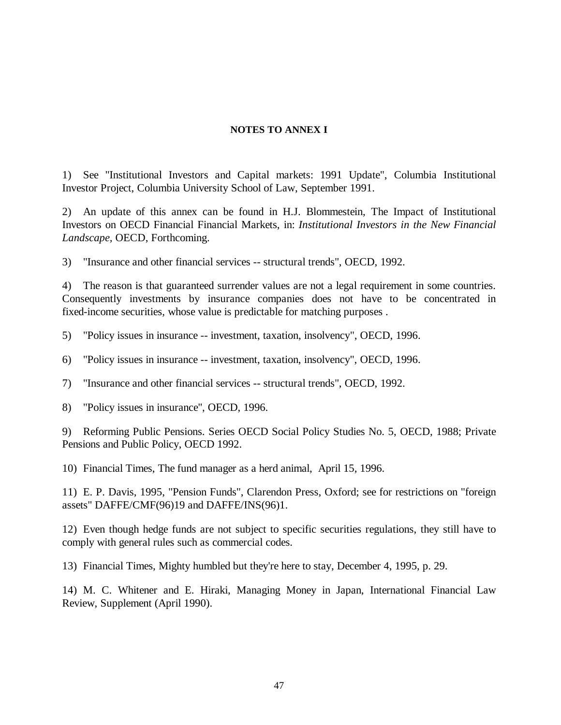### **NOTES TO ANNEX I**

1) See "Institutional Investors and Capital markets: 1991 Update", Columbia Institutional Investor Project, Columbia University School of Law, September 1991.

2) An update of this annex can be found in H.J. Blommestein, The Impact of Institutional Investors on OECD Financial Financial Markets, in: *Institutional Investors in the New Financial Landscape,* OECD, Forthcoming.

3) "Insurance and other financial services -- structural trends", OECD, 1992.

4) The reason is that guaranteed surrender values are not a legal requirement in some countries. Consequently investments by insurance companies does not have to be concentrated in fixed-income securities, whose value is predictable for matching purposes .

5) "Policy issues in insurance -- investment, taxation, insolvency", OECD, 1996.

6) "Policy issues in insurance -- investment, taxation, insolvency", OECD, 1996.

7) "Insurance and other financial services -- structural trends", OECD, 1992.

8) "Policy issues in insurance", OECD, 1996.

9) Reforming Public Pensions. Series OECD Social Policy Studies No. 5, OECD, 1988; Private Pensions and Public Policy, OECD 1992.

10) Financial Times, The fund manager as a herd animal, April 15, 1996.

11) E. P. Davis, 1995, "Pension Funds", Clarendon Press, Oxford; see for restrictions on "foreign assets" DAFFE/CMF(96)19 and DAFFE/INS(96)1.

12) Even though hedge funds are not subject to specific securities regulations, they still have to comply with general rules such as commercial codes.

13) Financial Times, Mighty humbled but they're here to stay, December 4, 1995, p. 29.

14) M. C. Whitener and E. Hiraki, Managing Money in Japan, International Financial Law Review, Supplement (April 1990).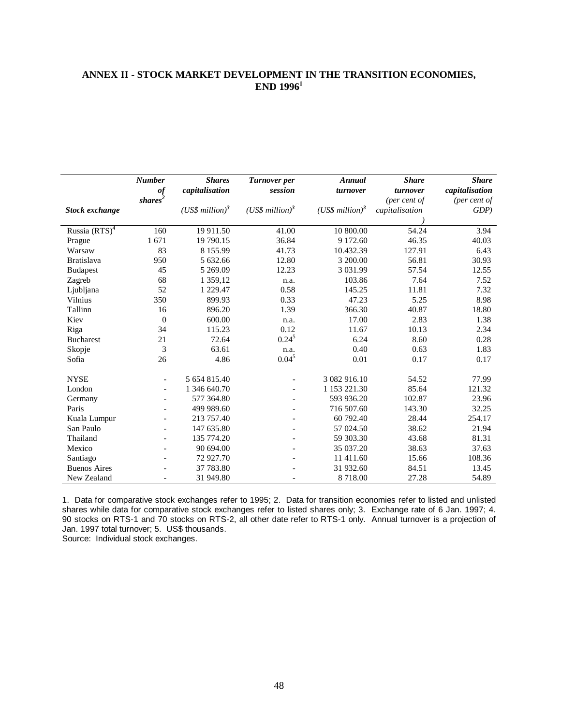## **ANNEX II - STOCK MARKET DEVELOPMENT IN THE TRANSITION ECONOMIES, END 1996<sup>1</sup>**

|                       | <b>Number</b>            | <b>Shares</b>                | <b>Turnover per</b>            | <b>Annual</b>                | <b>Share</b>                   | <b>Share</b>            |
|-----------------------|--------------------------|------------------------------|--------------------------------|------------------------------|--------------------------------|-------------------------|
|                       | $\it of$<br>$shares2$    | capitalisation               | session                        | turnover                     | turnover                       | capitalisation          |
|                       |                          | $(US\$ million) <sup>3</sup> | $(US\$ s million) <sup>3</sup> | $(US\$ million) <sup>3</sup> | (per cent of<br>capitalisation | (per cent of<br>$GDP$ ) |
| <b>Stock exchange</b> |                          |                              |                                |                              |                                |                         |
| Russia $(RTS)^4$      | 160                      | 19 911.50                    | 41.00                          | 10 800.00                    | 54.24                          | 3.94                    |
| Prague                | 1671                     | 19 790.15                    | 36.84                          | 9 172.60                     | 46.35                          | 40.03                   |
| Warsaw                | 83                       | 8 1 5 5 . 9 9                | 41.73                          | 10.432.39                    | 127.91                         | 6.43                    |
| <b>Bratislava</b>     | 950                      | 5 632.66                     | 12.80                          | 3 200.00                     | 56.81                          | 30.93                   |
| <b>Budapest</b>       | 45                       | 5 269.09                     | 12.23                          | 3 0 3 1 . 9 9                | 57.54                          | 12.55                   |
| Zagreb                | 68                       | 1 359,12                     | n.a.                           | 103.86                       | 7.64                           | 7.52                    |
| Ljubljana             | 52                       | 1 229.47                     | 0.58                           | 145.25                       | 11.81                          | 7.32                    |
| Vilnius               | 350                      | 899.93                       | 0.33                           | 47.23                        | 5.25                           | 8.98                    |
| Tallinn               | 16                       | 896.20                       | 1.39                           | 366.30                       | 40.87                          | 18.80                   |
| Kiev                  | $\boldsymbol{0}$         | 600.00                       | n.a.                           | 17.00                        | 2.83                           | 1.38                    |
| Riga                  | 34                       | 115.23                       | 0.12                           | 11.67                        | 10.13                          | 2.34                    |
| <b>Bucharest</b>      | 21                       | 72.64                        | $0.24^{5}$                     | 6.24                         | 8.60                           | 0.28                    |
| Skopje                | 3                        | 63.61                        | n.a.                           | 0.40                         | 0.63                           | 1.83                    |
| Sofia                 | 26                       | 4.86                         | $0.04^{5}$                     | 0.01                         | 0.17                           | 0.17                    |
| <b>NYSE</b>           | $\qquad \qquad -$        | 5 654 815.40                 |                                | 3 082 916.10                 | 54.52                          | 77.99                   |
| London                | $\overline{\phantom{a}}$ | 1 346 640.70                 | $\overline{\phantom{a}}$       | 1 153 221.30                 | 85.64                          | 121.32                  |
| Germany               | $\overline{\phantom{a}}$ | 577 364.80                   |                                | 593 936.20                   | 102.87                         | 23.96                   |
| Paris                 |                          | 499 989.60                   |                                | 716 507.60                   | 143.30                         | 32.25                   |
| Kuala Lumpur          | $\overline{\phantom{a}}$ | 213 757.40                   |                                | 60 792.40                    | 28.44                          | 254.17                  |
| San Paulo             | $\overline{\phantom{a}}$ | 147 635.80                   |                                | 57 024.50                    | 38.62                          | 21.94                   |
| Thailand              | $\overline{\phantom{a}}$ | 135 774.20                   | $\overline{a}$                 | 59 303.30                    | 43.68                          | 81.31                   |
| Mexico                | $\overline{\phantom{a}}$ | 90 694.00                    |                                | 35 037.20                    | 38.63                          | 37.63                   |
| Santiago              |                          | 72 927.70                    |                                | 11 411.60                    | 15.66                          | 108.36                  |
| <b>Buenos Aires</b>   |                          | 37 783.80                    |                                | 31 932.60                    | 84.51                          | 13.45                   |
| New Zealand           | $\overline{\phantom{a}}$ | 31 949.80                    | $\overline{\phantom{a}}$       | 8718.00                      | 27.28                          | 54.89                   |

1. Data for comparative stock exchanges refer to 1995; 2. Data for transition economies refer to listed and unlisted shares while data for comparative stock exchanges refer to listed shares only; 3. Exchange rate of 6 Jan. 1997; 4. 90 stocks on RTS-1 and 70 stocks on RTS-2, all other date refer to RTS-1 only. Annual turnover is a projection of Jan. 1997 total turnover; 5. US\$ thousands.

Source: Individual stock exchanges.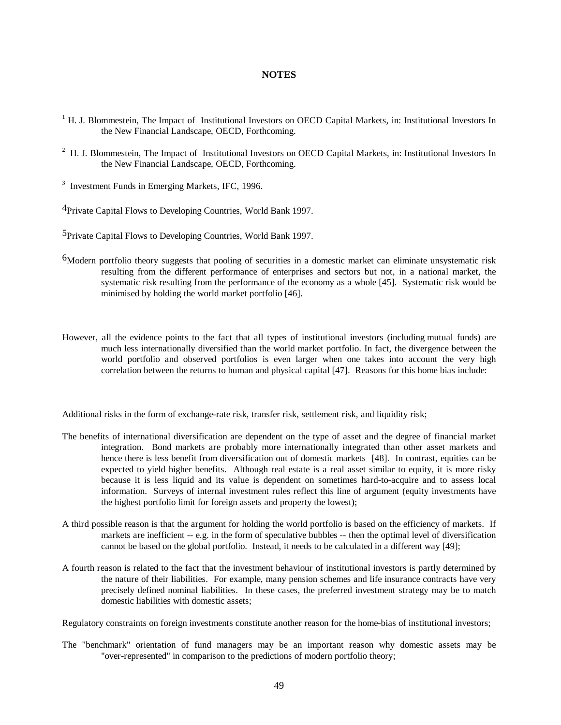#### **NOTES**

- <sup>1</sup> H. J. Blommestein, The Impact of Institutional Investors on OECD Capital Markets, in: Institutional Investors In the New Financial Landscape, OECD, Forthcoming.
- $2$  H. J. Blommestein, The Impact of Institutional Investors on OECD Capital Markets, in: Institutional Investors In the New Financial Landscape, OECD, Forthcoming.

<sup>3</sup> Investment Funds in Emerging Markets, IFC, 1996.

4Private Capital Flows to Developing Countries, World Bank 1997.

5Private Capital Flows to Developing Countries, World Bank 1997.

- <sup>6</sup>Modern portfolio theory suggests that pooling of securities in a domestic market can eliminate unsystematic risk resulting from the different performance of enterprises and sectors but not, in a national market, the systematic risk resulting from the performance of the economy as a whole [45]. Systematic risk would be minimised by holding the world market portfolio [46].
- However, all the evidence points to the fact that all types of institutional investors (including mutual funds) are much less internationally diversified than the world market portfolio. In fact, the divergence between the world portfolio and observed portfolios is even larger when one takes into account the very high correlation between the returns to human and physical capital [47]. Reasons for this home bias include:

Additional risks in the form of exchange-rate risk, transfer risk, settlement risk, and liquidity risk;

- The benefits of international diversification are dependent on the type of asset and the degree of financial market integration. Bond markets are probably more internationally integrated than other asset markets and hence there is less benefit from diversification out of domestic markets [48]. In contrast, equities can be expected to yield higher benefits. Although real estate is a real asset similar to equity, it is more risky because it is less liquid and its value is dependent on sometimes hard-to-acquire and to assess local information. Surveys of internal investment rules reflect this line of argument (equity investments have the highest portfolio limit for foreign assets and property the lowest);
- A third possible reason is that the argument for holding the world portfolio is based on the efficiency of markets. If markets are inefficient -- e.g. in the form of speculative bubbles -- then the optimal level of diversification cannot be based on the global portfolio. Instead, it needs to be calculated in a different way [49];
- A fourth reason is related to the fact that the investment behaviour of institutional investors is partly determined by the nature of their liabilities. For example, many pension schemes and life insurance contracts have very precisely defined nominal liabilities. In these cases, the preferred investment strategy may be to match domestic liabilities with domestic assets;

Regulatory constraints on foreign investments constitute another reason for the home-bias of institutional investors;

The "benchmark" orientation of fund managers may be an important reason why domestic assets may be "over-represented" in comparison to the predictions of modern portfolio theory;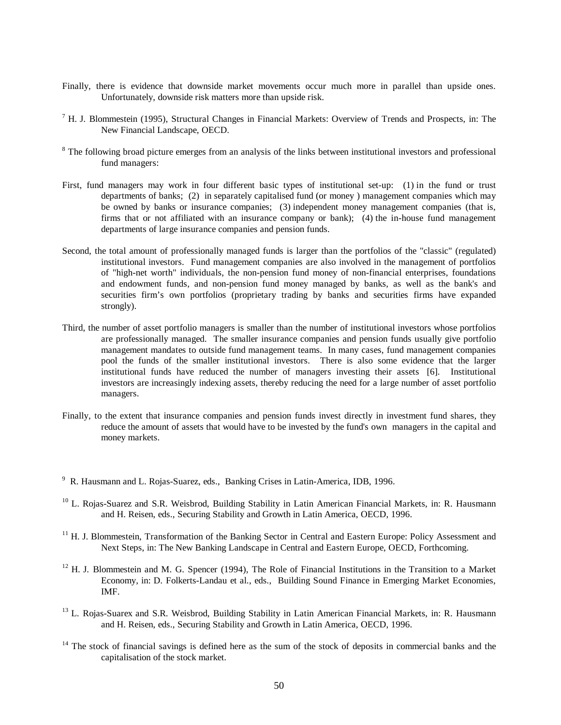- Finally, there is evidence that downside market movements occur much more in parallel than upside ones. Unfortunately, downside risk matters more than upside risk.
- <sup>7</sup> H. J. Blommestein (1995), Structural Changes in Financial Markets: Overview of Trends and Prospects, in: The New Financial Landscape, OECD.
- <sup>8</sup> The following broad picture emerges from an analysis of the links between institutional investors and professional fund managers:
- First, fund managers may work in four different basic types of institutional set-up: (1) in the fund or trust departments of banks; (2) in separately capitalised fund (or money ) management companies which may be owned by banks or insurance companies; (3) independent money management companies (that is, firms that or not affiliated with an insurance company or bank); (4) the in-house fund management departments of large insurance companies and pension funds.
- Second, the total amount of professionally managed funds is larger than the portfolios of the "classic" (regulated) institutional investors. Fund management companies are also involved in the management of portfolios of "high-net worth" individuals, the non-pension fund money of non-financial enterprises, foundations and endowment funds, and non-pension fund money managed by banks, as well as the bank's and securities firm's own portfolios (proprietary trading by banks and securities firms have expanded strongly).
- Third, the number of asset portfolio managers is smaller than the number of institutional investors whose portfolios are professionally managed. The smaller insurance companies and pension funds usually give portfolio management mandates to outside fund management teams. In many cases, fund management companies pool the funds of the smaller institutional investors. There is also some evidence that the larger institutional funds have reduced the number of managers investing their assets [6]. Institutional investors are increasingly indexing assets, thereby reducing the need for a large number of asset portfolio managers.
- Finally, to the extent that insurance companies and pension funds invest directly in investment fund shares, they reduce the amount of assets that would have to be invested by the fund's own managers in the capital and money markets.
- <sup>9</sup> R. Hausmann and L. Rojas-Suarez, eds., Banking Crises in Latin-America, IDB, 1996.
- <sup>10</sup> L. Rojas-Suarez and S.R. Weisbrod, Building Stability in Latin American Financial Markets, in: R. Hausmann and H. Reisen, eds., Securing Stability and Growth in Latin America, OECD, 1996.
- <sup>11</sup> H. J. Blommestein, Transformation of the Banking Sector in Central and Eastern Europe: Policy Assessment and Next Steps, in: The New Banking Landscape in Central and Eastern Europe, OECD, Forthcoming.
- <sup>12</sup> H. J. Blommestein and M. G. Spencer (1994), The Role of Financial Institutions in the Transition to a Market Economy, in: D. Folkerts-Landau et al., eds., Building Sound Finance in Emerging Market Economies, IMF.
- <sup>13</sup> L. Rojas-Suarex and S.R. Weisbrod, Building Stability in Latin American Financial Markets, in: R. Hausmann and H. Reisen, eds., Securing Stability and Growth in Latin America, OECD, 1996.
- $14$  The stock of financial savings is defined here as the sum of the stock of deposits in commercial banks and the capitalisation of the stock market.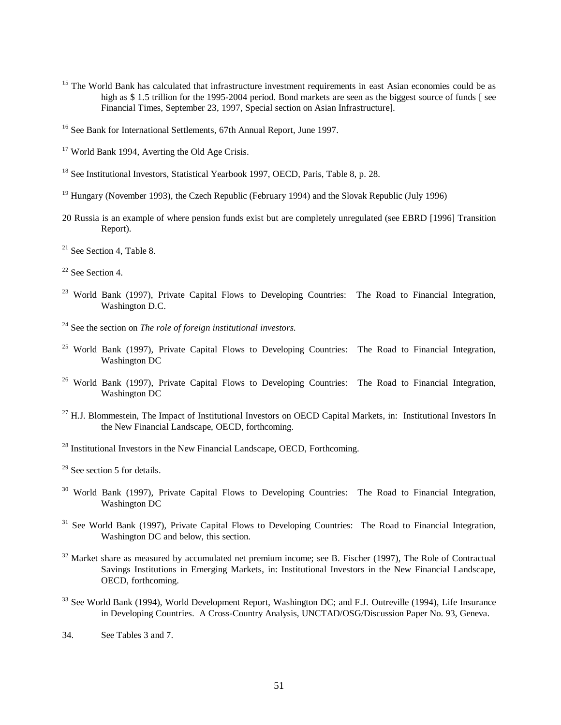<sup>15</sup> The World Bank has calculated that infrastructure investment requirements in east Asian economies could be as high as \$1.5 trillion for the 1995-2004 period. Bond markets are seen as the biggest source of funds [see Financial Times, September 23, 1997, Special section on Asian Infrastructure].

- <sup>19</sup> Hungary (November 1993), the Czech Republic (February 1994) and the Slovak Republic (July 1996)
- 20 Russia is an example of where pension funds exist but are completely unregulated (see EBRD [1996] Transition Report).
- $21$  See Section 4, Table 8.
- <sup>22</sup> See Section 4.
- <sup>23</sup> World Bank (1997), Private Capital Flows to Developing Countries: The Road to Financial Integration, Washington D.C.
- <sup>24</sup> See the section on *The role of foreign institutional investors*.
- <sup>25</sup> World Bank (1997), Private Capital Flows to Developing Countries: The Road to Financial Integration, Washington DC
- <sup>26</sup> World Bank (1997), Private Capital Flows to Developing Countries: The Road to Financial Integration, Washington DC
- $^{27}$  H.J. Blommestein, The Impact of Institutional Investors on OECD Capital Markets, in: Institutional Investors In the New Financial Landscape, OECD, forthcoming.
- $28$  Institutional Investors in the New Financial Landscape, OECD, Forthcoming.
- $29$  See section 5 for details.
- <sup>30</sup> World Bank (1997), Private Capital Flows to Developing Countries: The Road to Financial Integration, Washington DC
- <sup>31</sup> See World Bank (1997), Private Capital Flows to Developing Countries: The Road to Financial Integration, Washington DC and below, this section.
- $32$  Market share as measured by accumulated net premium income; see B. Fischer (1997), The Role of Contractual Savings Institutions in Emerging Markets, in: Institutional Investors in the New Financial Landscape, OECD, forthcoming.
- <sup>33</sup> See World Bank (1994), World Development Report, Washington DC; and F.J. Outreville (1994), Life Insurance in Developing Countries. A Cross-Country Analysis, UNCTAD/OSG/Discussion Paper No. 93, Geneva.

<sup>&</sup>lt;sup>16</sup> See Bank for International Settlements, 67th Annual Report, June 1997.

<sup>&</sup>lt;sup>17</sup> World Bank 1994, Averting the Old Age Crisis.

<sup>&</sup>lt;sup>18</sup> See Institutional Investors, Statistical Yearbook 1997, OECD, Paris, Table 8, p. 28.

<sup>34.</sup> See Tables 3 and 7.